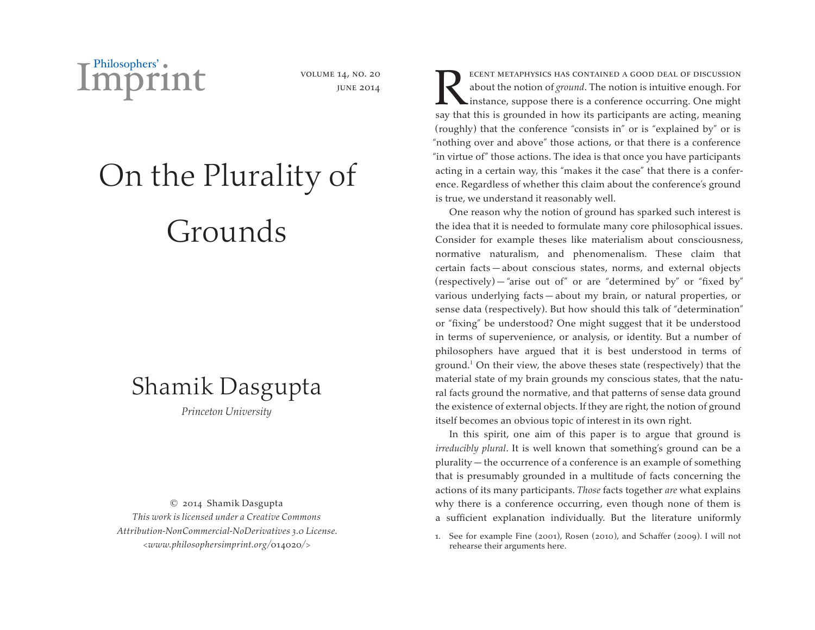

volume 14, no. 20 june 2014

# On the Plurality of Grounds

## Shamik Dasgupta

*Princeton University*

© 2014 Shamik Dasgupta *This work is licensed under a Creative Commons Attribution-NonCommercial-NoDerivatives 3.0 License. <www.philosophersimprint.org/*014020*/>*

ECENT METAPHYSICS HAS CONTAINED A GOOD DEAL OF DISCUSSION about the notion of *ground*. The notion is intuitive enough. For instance, suppose there is a conference occurring. One might about the notion of *ground*. The notion is intuitive enough. For instance, suppose there is a conference occurring. One might say that this is grounded in how its participants are acting, meaning (roughly) that the conference "consists in" or is "explained by" or is "nothing over and above" those actions, or that there is a conference "in virtue of" those actions. The idea is that once you have participants acting in a certain way, this "makes it the case" that there is a conference. Regardless of whether this claim about the conference's ground is true, we understand it reasonably well.

One reason why the notion of ground has sparked such interest is the idea that it is needed to formulate many core philosophical issues. Consider for example theses like materialism about consciousness, normative naturalism, and phenomenalism. These claim that certain facts — about conscious states, norms, and external objects (respectively) — "arise out of" or are "determined by" or "fixed by" various underlying facts — about my brain, or natural properties, or sense data (respectively). But how should this talk of "determination" or "fixing" be understood? One might suggest that it be understood in terms of supervenience, or analysis, or identity. But a number of philosophers have argued that it is best understood in terms of ground.<sup>1</sup> On their view, the above theses state (respectively) that the material state of my brain grounds my conscious states, that the natural facts ground the normative, and that patterns of sense data ground the existence of external objects. If they are right, the notion of ground itself becomes an obvious topic of interest in its own right.

In this spirit, one aim of this paper is to argue that ground is *irreducibly plural*. It is well known that something's ground can be a plurality — the occurrence of a conference is an example of something that is presumably grounded in a multitude of facts concerning the actions of its many participants. *Those* facts together *are* what explains why there is a conference occurring, even though none of them is a sufficient explanation individually. But the literature uniformly

1. See for example Fine (2001), Rosen (2010), and Schaffer (2009). I will not rehearse their arguments here.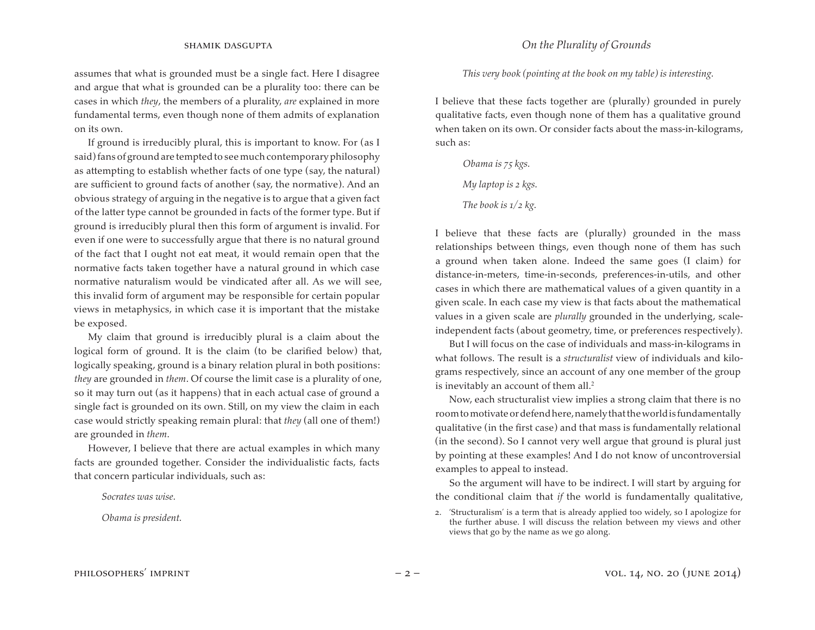assumes that what is grounded must be a single fact. Here I disagree and argue that what is grounded can be a plurality too: there can be cases in which *they*, the members of a plurality, *are* explained in more fundamental terms, even though none of them admits of explanation on its own.

If ground is irreducibly plural, this is important to know. For (as I said) fans of ground are tempted to see much contemporary philosophy as attempting to establish whether facts of one type (say, the natural) are sufficient to ground facts of another (say, the normative). And an obvious strategy of arguing in the negative is to argue that a given fact of the latter type cannot be grounded in facts of the former type. But if ground is irreducibly plural then this form of argument is invalid. For even if one were to successfully argue that there is no natural ground of the fact that I ought not eat meat, it would remain open that the normative facts taken together have a natural ground in which case normative naturalism would be vindicated after all. As we will see, this invalid form of argument may be responsible for certain popular views in metaphysics, in which case it is important that the mistake be exposed.

My claim that ground is irreducibly plural is a claim about the logical form of ground. It is the claim (to be clarified below) that, logically speaking, ground is a binary relation plural in both positions: *they* are grounded in *them*. Of course the limit case is a plurality of one, so it may turn out (as it happens) that in each actual case of ground a single fact is grounded on its own. Still, on my view the claim in each case would strictly speaking remain plural: that *they* (all one of them!) are grounded in *them*.

However, I believe that there are actual examples in which many facts are grounded together. Consider the individualistic facts, facts that concern particular individuals, such as:

*Socrates was wise.* 

*Obama is president.* 

### *This very book (pointing at the book on my table) is interesting.*

I believe that these facts together are (plurally) grounded in purely qualitative facts, even though none of them has a qualitative ground when taken on its own. Or consider facts about the mass-in-kilograms, such as:

*Obama is 75 kgs. My laptop is 2 kgs.* 

*The book is 1/2 kg.* 

I believe that these facts are (plurally) grounded in the mass relationships between things, even though none of them has such a ground when taken alone. Indeed the same goes (I claim) for distance-in-meters, time-in-seconds, preferences-in-utils, and other cases in which there are mathematical values of a given quantity in a given scale. In each case my view is that facts about the mathematical values in a given scale are *plurally* grounded in the underlying, scaleindependent facts (about geometry, time, or preferences respectively).

But I will focus on the case of individuals and mass-in-kilograms in what follows. The result is a *structuralist* view of individuals and kilograms respectively, since an account of any one member of the group is inevitably an account of them all.<sup>2</sup>

Now, each structuralist view implies a strong claim that there is no room to motivate or defend here, namely that the world is fundamentally qualitative (in the first case) and that mass is fundamentally relational (in the second). So I cannot very well argue that ground is plural just by pointing at these examples! And I do not know of uncontroversial examples to appeal to instead.

So the argument will have to be indirect. I will start by arguing for the conditional claim that *if* the world is fundamentally qualitative,

2. 'Structuralism' is a term that is already applied too widely, so I apologize for the further abuse. I will discuss the relation between my views and other views that go by the name as we go along.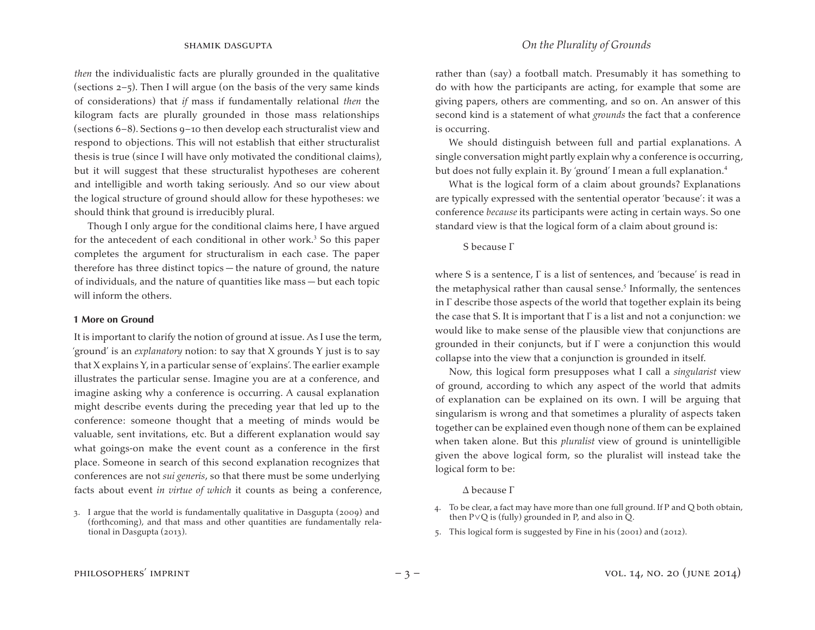*then* the individualistic facts are plurally grounded in the qualitative (sections 2–5). Then I will argue (on the basis of the very same kinds of considerations) that *if* mass if fundamentally relational *then* the kilogram facts are plurally grounded in those mass relationships (sections 6–8). Sections 9–10 then develop each structuralist view and respond to objections. This will not establish that either structuralist thesis is true (since I will have only motivated the conditional claims), but it will suggest that these structuralist hypotheses are coherent and intelligible and worth taking seriously. And so our view about the logical structure of ground should allow for these hypotheses: we should think that ground is irreducibly plural.

Though I only argue for the conditional claims here, I have argued for the antecedent of each conditional in other work.<sup>3</sup> So this paper completes the argument for structuralism in each case. The paper therefore has three distinct topics — the nature of ground, the nature of individuals, and the nature of quantities like mass — but each topic will inform the others.

#### **1 More on Ground**

It is important to clarify the notion of ground at issue. As I use the term, 'ground' is an *explanatory* notion: to say that X grounds Y just is to say that X explains Y, in a particular sense of 'explains'.The earlier example illustrates the particular sense. Imagine you are at a conference, and imagine asking why a conference is occurring. A causal explanation might describe events during the preceding year that led up to the conference: someone thought that a meeting of minds would be valuable, sent invitations, etc. But a different explanation would say what goings-on make the event count as a conference in the first place. Someone in search of this second explanation recognizes that conferences are not *sui generis*, so that there must be some underlying facts about event *in virtue of which* it counts as being a conference,

rather than (say) a football match. Presumably it has something to do with how the participants are acting, for example that some are giving papers, others are commenting, and so on. An answer of this second kind is a statement of what *grounds* the fact that a conference is occurring.

We should distinguish between full and partial explanations. A single conversation might partly explain why a conference is occurring, but does not fully explain it. By 'ground' I mean a full explanation.<sup>4</sup>

What is the logical form of a claim about grounds? Explanations are typically expressed with the sentential operator 'because': it was a conference *because* its participants were acting in certain ways. So one standard view is that the logical form of a claim about ground is:

S because Γ

where S is a sentence, Γ is a list of sentences, and 'because' is read in the metaphysical rather than causal sense. $5$  Informally, the sentences in  $\Gamma$  describe those aspects of the world that together explain its being the case that S. It is important that  $\Gamma$  is a list and not a conjunction: we would like to make sense of the plausible view that conjunctions are grounded in their conjuncts, but if Γ were a conjunction this would collapse into the view that a conjunction is grounded in itself.

Now, this logical form presupposes what I call a *singularist* view of ground, according to which any aspect of the world that admits of explanation can be explained on its own. I will be arguing that singularism is wrong and that sometimes a plurality of aspects taken together can be explained even though none of them can be explained when taken alone. But this *pluralist* view of ground is unintelligible given the above logical form, so the pluralist will instead take the logical form to be:

#### Δ because Γ

5. This logical form is suggested by Fine in his (2001) and (2012).

<sup>3.</sup> I argue that the world is fundamentally qualitative in Dasgupta (2009) and (forthcoming), and that mass and other quantities are fundamentally relational in Dasgupta (2013).

<sup>4.</sup> To be clear, a fact may have more than one full ground. If P and Q both obtain, then P∨Q is (fully) grounded in P, and also in Q.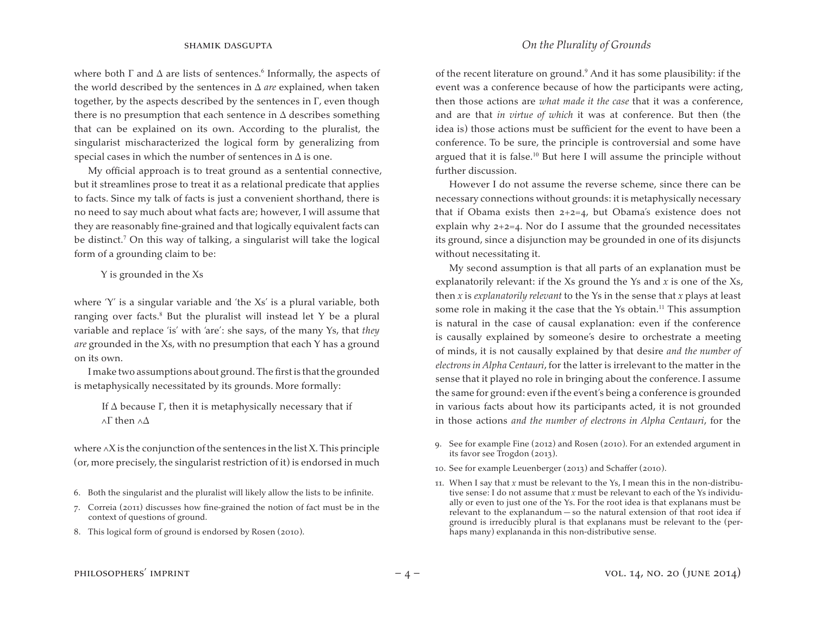where both  $\Gamma$  and  $\Delta$  are lists of sentences.<sup>6</sup> Informally, the aspects of the world described by the sentences in Δ *are* explained, when taken together, by the aspects described by the sentences in  $\Gamma$ , even though there is no presumption that each sentence in  $\Delta$  describes something that can be explained on its own. According to the pluralist, the singularist mischaracterized the logical form by generalizing from special cases in which the number of sentences in  $\Delta$  is one.

My official approach is to treat ground as a sentential connective, but it streamlines prose to treat it as a relational predicate that applies to facts. Since my talk of facts is just a convenient shorthand, there is no need to say much about what facts are; however, I will assume that they are reasonably fine-grained and that logically equivalent facts can be distinct.<sup>7</sup> On this way of talking, a singularist will take the logical form of a grounding claim to be:

Y is grounded in the Xs

where 'Y' is a singular variable and 'the Xs' is a plural variable, both ranging over facts.<sup>8</sup> But the pluralist will instead let Y be a plural variable and replace 'is' with 'are': she says, of the many Ys, that *they are* grounded in the Xs, with no presumption that each Y has a ground on its own.

I make two assumptions about ground. The first is that the grounded is metaphysically necessitated by its grounds. More formally:

If  $\Delta$  because  $\Gamma$ , then it is metaphysically necessary that if ∧Γ then ∧Δ

where ∧X is the conjunction of the sentences in the list X.This principle (or, more precisely, the singularist restriction of it) is endorsed in much

- 6. Both the singularist and the pluralist will likely allow the lists to be infinite.
- 7. Correia (2011) discusses how fine-grained the notion of fact must be in the context of questions of ground.
- 8. This logical form of ground is endorsed by Rosen (2010).

### shamik dasgupta *On the Plurality of Grounds*

of the recent literature on ground.<sup>9</sup> And it has some plausibility: if the event was a conference because of how the participants were acting, then those actions are *what made it the case* that it was a conference, and are that *in virtue of which* it was at conference. But then (the idea is) those actions must be sufficient for the event to have been a conference. To be sure, the principle is controversial and some have argued that it is false.<sup>10</sup> But here I will assume the principle without further discussion.

However I do not assume the reverse scheme, since there can be necessary connections without grounds: it is metaphysically necessary that if Obama exists then 2+2=4, but Obama's existence does not explain why  $2+2=4$ . Nor do I assume that the grounded necessitates its ground, since a disjunction may be grounded in one of its disjuncts without necessitating it.

My second assumption is that all parts of an explanation must be explanatorily relevant: if the Xs ground the Ys and *x* is one of the Xs, then *x* is *explanatorily relevant* to the Ys in the sense that *x* plays at least some role in making it the case that the Ys obtain.<sup>11</sup> This assumption is natural in the case of causal explanation: even if the conference is causally explained by someone's desire to orchestrate a meeting of minds, it is not causally explained by that desire *and the number of electrons in Alpha Centauri*, for the latter is irrelevant to the matter in the sense that it played no role in bringing about the conference. I assume the same for ground: even if the event's being a conference is grounded in various facts about how its participants acted, it is not grounded in those actions *and the number of electrons in Alpha Centauri*, for the

- 9. See for example Fine (2012) and Rosen (2010). For an extended argument in its favor see Trogdon (2013).
- 10. See for example Leuenberger (2013) and Schaffer (2010).
- 11. When I say that  $x$  must be relevant to the Ys, I mean this in the non-distributive sense: I do not assume that *x* must be relevant to each of the Ys individually or even to just one of the Ys. For the root idea is that explanans must be relevant to the explanandum — so the natural extension of that root idea if ground is irreducibly plural is that explanans must be relevant to the (perhaps many) explananda in this non-distributive sense.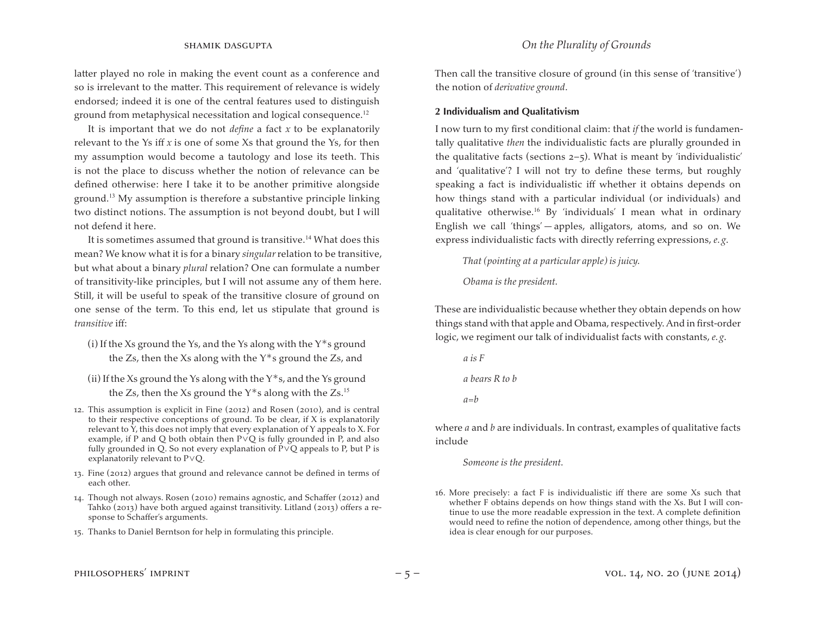latter played no role in making the event count as a conference and so is irrelevant to the matter. This requirement of relevance is widely endorsed; indeed it is one of the central features used to distinguish ground from metaphysical necessitation and logical consequence.<sup>12</sup>

It is important that we do not *define* a fact *x* to be explanatorily relevant to the Ys iff *x* is one of some Xs that ground the Ys, for then my assumption would become a tautology and lose its teeth. This is not the place to discuss whether the notion of relevance can be defined otherwise: here I take it to be another primitive alongside ground.<sup>13</sup> My assumption is therefore a substantive principle linking two distinct notions. The assumption is not beyond doubt, but I will not defend it here.

It is sometimes assumed that ground is transitive.<sup>14</sup> What does this mean? We know what it is for a binary *singular* relation to be transitive, but what about a binary *plural* relation? One can formulate a number of transitivity-like principles, but I will not assume any of them here. Still, it will be useful to speak of the transitive closure of ground on one sense of the term. To this end, let us stipulate that ground is *transitive* iff:

- (i) If the Xs ground the Ys, and the Ys along with the  $Y^*$ s ground the Zs, then the Xs along with the  $Y$ <sup>\*</sup>s ground the Zs, and
- (ii) If the Xs ground the Ys along with the  $Y^*s$ , and the Ys ground the Zs, then the Xs ground the  $Y$ <sup>\*</sup>s along with the Zs.<sup>15</sup>
- 12. This assumption is explicit in Fine (2012) and Rosen (2010), and is central to their respective conceptions of ground. To be clear, if X is explanatorily relevant to Y, this does not imply that every explanation of Y appeals to X. For example, if P and Q both obtain then P∨Q is fully grounded in P, and also fully grounded in Q. So not every explanation of P∨Q appeals to P, but P is explanatorily relevant to P∨Q.
- 13. Fine (2012) argues that ground and relevance cannot be defined in terms of each other.
- 14. Though not always. Rosen (2010) remains agnostic, and Schaffer (2012) and Tahko (2013) have both argued against transitivity. Litland (2013) offers a response to Schaffer's arguments.
- 15. Thanks to Daniel Berntson for help in formulating this principle.

Then call the transitive closure of ground (in this sense of 'transitive') the notion of *derivative ground*.

#### **2 Individualism and Qualitativism**

I now turn to my first conditional claim: that *if* the world is fundamentally qualitative *then* the individualistic facts are plurally grounded in the qualitative facts (sections  $2-5$ ). What is meant by 'individualistic' and 'qualitative'? I will not try to define these terms, but roughly speaking a fact is individualistic iff whether it obtains depends on how things stand with a particular individual (or individuals) and qualitative otherwise.<sup>16</sup> By 'individuals' I mean what in ordinary English we call 'things' — apples, alligators, atoms, and so on. We express individualistic facts with directly referring expressions, *e. g*.

*That (pointing at a particular apple) is juicy.* 

*Obama is the president.* 

These are individualistic because whether they obtain depends on how things stand with that apple and Obama, respectively. And in first-order logic, we regiment our talk of individualist facts with constants, *e. g*.

*a is F a bears R to b a=b* 

where *a* and *b* are individuals. In contrast, examples of qualitative facts include

*Someone is the president.* 

16. More precisely: a fact  $F$  is individualistic iff there are some  $Xs$  such that whether F obtains depends on how things stand with the Xs. But I will continue to use the more readable expression in the text. A complete definition would need to refine the notion of dependence, among other things, but the idea is clear enough for our purposes.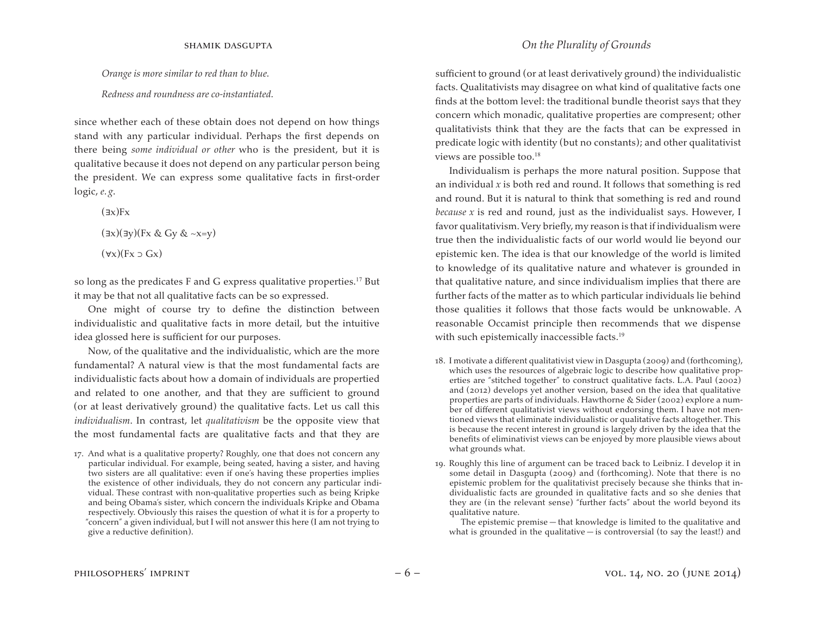*Orange is more similar to red than to blue.* 

*Redness and roundness are co-instantiated.* 

since whether each of these obtain does not depend on how things stand with any particular individual. Perhaps the first depends on there being *some individual or other* who is the president, but it is qualitative because it does not depend on any particular person being the president. We can express some qualitative facts in first-order logic, *e. g*.

 $(\exists x)$ Fx

```
(∃x)(∃y)(Fx & Gy & ~x=y)
```
 $(\forall x)(Fx \supset Gx)$ 

so long as the predicates  $F$  and  $G$  express qualitative properties.<sup>17</sup> But it may be that not all qualitative facts can be so expressed.

One might of course try to define the distinction between individualistic and qualitative facts in more detail, but the intuitive idea glossed here is sufficient for our purposes.

Now, of the qualitative and the individualistic, which are the more fundamental? A natural view is that the most fundamental facts are individualistic facts about how a domain of individuals are propertied and related to one another, and that they are sufficient to ground (or at least derivatively ground) the qualitative facts. Let us call this *individualism*. In contrast, let *qualitativism* be the opposite view that the most fundamental facts are qualitative facts and that they are sufficient to ground (or at least derivatively ground) the individualistic facts. Qualitativists may disagree on what kind of qualitative facts one finds at the bottom level: the traditional bundle theorist says that they concern which monadic, qualitative properties are compresent; other qualitativists think that they are the facts that can be expressed in predicate logic with identity (but no constants); and other qualitativist views are possible too.<sup>18</sup>

Individualism is perhaps the more natural position. Suppose that an individual *x* is both red and round. It follows that something is red and round. But it is natural to think that something is red and round *because x* is red and round, just as the individualist says. However, I favor qualitativism. Very briefly, my reason is that if individualism were true then the individualistic facts of our world would lie beyond our epistemic ken. The idea is that our knowledge of the world is limited to knowledge of its qualitative nature and whatever is grounded in that qualitative nature, and since individualism implies that there are further facts of the matter as to which particular individuals lie behind those qualities it follows that those facts would be unknowable. A reasonable Occamist principle then recommends that we dispense with such epistemically inaccessible facts.<sup>19</sup>

- 18. I motivate a different qualitativist view in Dasgupta (2009) and (forthcoming), which uses the resources of algebraic logic to describe how qualitative properties are "stitched together" to construct qualitative facts. L.A. Paul (2002) and (2012) develops yet another version, based on the idea that qualitative properties are parts of individuals. Hawthorne & Sider (2002) explore a number of different qualitativist views without endorsing them. I have not mentioned views that eliminate individualistic or qualitative facts altogether. This is because the recent interest in ground is largely driven by the idea that the benefits of eliminativist views can be enjoyed by more plausible views about what grounds what.
- 19. Roughly this line of argument can be traced back to Leibniz. I develop it in some detail in Dasgupta (2009) and (forthcoming). Note that there is no epistemic problem for the qualitativist precisely because she thinks that individualistic facts are grounded in qualitative facts and so she denies that they are (in the relevant sense) "further facts" about the world beyond its qualitative nature.

 The epistemic premise — that knowledge is limited to the qualitative and what is grounded in the qualitative  $-$  is controversial (to say the least!) and

<sup>17.</sup> And what is a qualitative property? Roughly, one that does not concern any particular individual. For example, being seated, having a sister, and having two sisters are all qualitative: even if one's having these properties implies the existence of other individuals, they do not concern any particular individual. These contrast with non-qualitative properties such as being Kripke and being Obama's sister, which concern the individuals Kripke and Obama respectively. Obviously this raises the question of what it is for a property to "concern" a given individual, but I will not answer this here (I am not trying to give a reductive definition).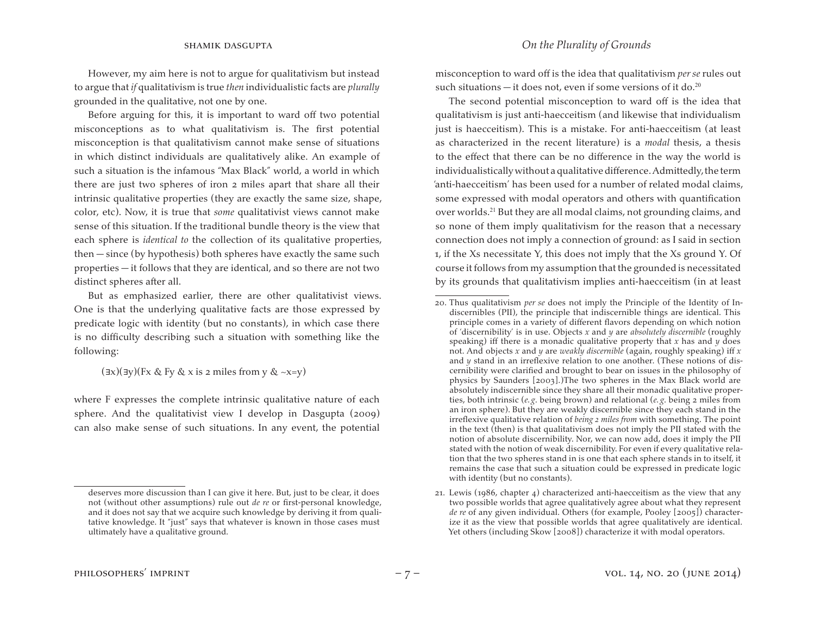However, my aim here is not to argue for qualitativism but instead to argue that *if* qualitativism is true *then* individualistic facts are *plurally*  grounded in the qualitative, not one by one.

Before arguing for this, it is important to ward off two potential misconceptions as to what qualitativism is. The first potential misconception is that qualitativism cannot make sense of situations in which distinct individuals are qualitatively alike. An example of such a situation is the infamous "Max Black" world, a world in which there are just two spheres of iron 2 miles apart that share all their intrinsic qualitative properties (they are exactly the same size, shape, color, etc). Now, it is true that *some* qualitativist views cannot make sense of this situation. If the traditional bundle theory is the view that each sphere is *identical to* the collection of its qualitative properties, then — since (by hypothesis) both spheres have exactly the same such properties — it follows that they are identical, and so there are not two distinct spheres after all.

But as emphasized earlier, there are other qualitativist views. One is that the underlying qualitative facts are those expressed by predicate logic with identity (but no constants), in which case there is no difficulty describing such a situation with something like the following:

(∃x)(∃y)(Fx & Fy & x is 2 miles from y & ~x=y)

where F expresses the complete intrinsic qualitative nature of each sphere. And the qualitativist view I develop in Dasgupta (2009) can also make sense of such situations. In any event, the potential misconception to ward off is the idea that qualitativism *per se* rules out such situations — it does not, even if some versions of it do.<sup>20</sup>

The second potential misconception to ward off is the idea that qualitativism is just anti-haecceitism (and likewise that individualism just is haecceitism). This is a mistake. For anti-haecceitism (at least as characterized in the recent literature) is a *modal* thesis, a thesis to the effect that there can be no difference in the way the world is individualistically without a qualitative difference. Admittedly, the term 'anti-haecceitism' has been used for a number of related modal claims, some expressed with modal operators and others with quantification over worlds.<sup>21</sup> But they are all modal claims, not grounding claims, and so none of them imply qualitativism for the reason that a necessary connection does not imply a connection of ground: as I said in section 1, if the Xs necessitate Y, this does not imply that the Xs ground Y. Of course it follows from my assumption that the grounded is necessitated by its grounds that qualitativism implies anti-haecceitism (in at least

### shamik dasgupta *On the Plurality of Grounds*

deserves more discussion than I can give it here. But, just to be clear, it does not (without other assumptions) rule out *de re* or first-personal knowledge, and it does not say that we acquire such knowledge by deriving it from qualitative knowledge. It "just" says that whatever is known in those cases must ultimately have a qualitative ground.

<sup>20.</sup> Thus qualitativism *per se* does not imply the Principle of the Identity of Indiscernibles (PII), the principle that indiscernible things are identical. This principle comes in a variety of different flavors depending on which notion of 'discernibility' is in use. Objects *x* and *y* are *absolutely discernible* (roughly speaking) iff there is a monadic qualitative property that *x* has and *y* does not. And objects *x* and *y* are *weakly discernible* (again, roughly speaking) iff *x*  and *y* stand in an irreflexive relation to one another. (These notions of discernibility were clarified and brought to bear on issues in the philosophy of physics by Saunders [2003].)The two spheres in the Max Black world are absolutely indiscernible since they share all their monadic qualitative properties, both intrinsic (*e. g*. being brown) and relational (*e. g*. being 2 miles from an iron sphere). But they are weakly discernible since they each stand in the irreflexive qualitative relation of *being 2 miles from* with something. The point in the text (then) is that qualitativism does not imply the PII stated with the notion of absolute discernibility. Nor, we can now add, does it imply the PII stated with the notion of weak discernibility. For even if every qualitative relation that the two spheres stand in is one that each sphere stands in to itself, it remains the case that such a situation could be expressed in predicate logic with identity (but no constants).

<sup>21.</sup> Lewis (1986, chapter  $\phi$ ) characterized anti-haecceitism as the view that any two possible worlds that agree qualitatively agree about what they represent *de re* of any given individual. Others (for example, Pooley [2005]) characterize it as the view that possible worlds that agree qualitatively are identical. Yet others (including Skow [2008]) characterize it with modal operators.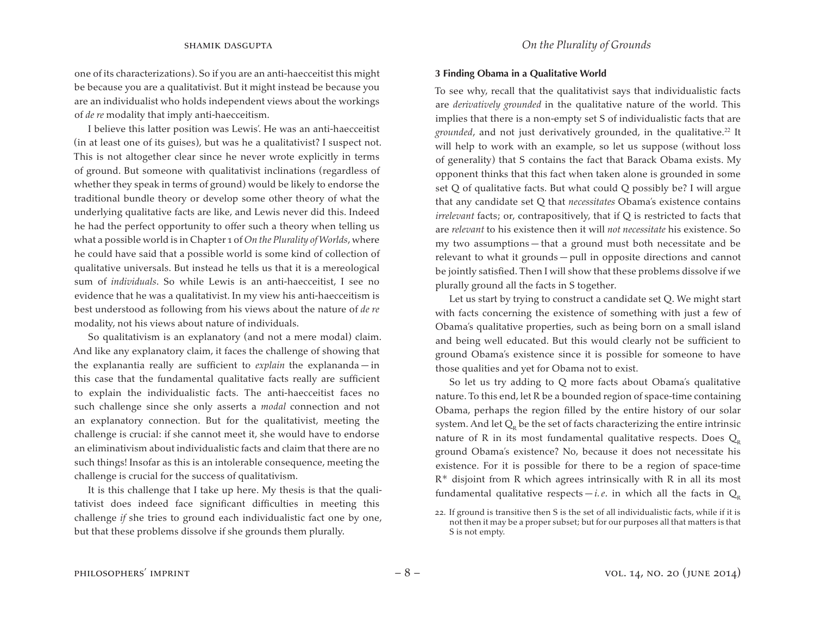one of its characterizations). So if you are an anti-haecceitist this might be because you are a qualitativist. But it might instead be because you are an individualist who holds independent views about the workings of *de re* modality that imply anti-haecceitism.

I believe this latter position was Lewis'. He was an anti-haecceitist (in at least one of its guises), but was he a qualitativist? I suspect not. This is not altogether clear since he never wrote explicitly in terms of ground. But someone with qualitativist inclinations (regardless of whether they speak in terms of ground) would be likely to endorse the traditional bundle theory or develop some other theory of what the underlying qualitative facts are like, and Lewis never did this. Indeed he had the perfect opportunity to offer such a theory when telling us what a possible world is in Chapter 1 of *On the Plurality of Worlds*, where he could have said that a possible world is some kind of collection of qualitative universals. But instead he tells us that it is a mereological sum of *individuals*. So while Lewis is an anti-haecceitist, I see no evidence that he was a qualitativist. In my view his anti-haecceitism is best understood as following from his views about the nature of *de re*  modality, not his views about nature of individuals.

So qualitativism is an explanatory (and not a mere modal) claim. And like any explanatory claim, it faces the challenge of showing that the explanantia really are sufficient to *explain* the explananda — in this case that the fundamental qualitative facts really are sufficient to explain the individualistic facts. The anti-haecceitist faces no such challenge since she only asserts a *modal* connection and not an explanatory connection. But for the qualitativist, meeting the challenge is crucial: if she cannot meet it, she would have to endorse an eliminativism about individualistic facts and claim that there are no such things! Insofar as this is an intolerable consequence, meeting the challenge is crucial for the success of qualitativism.

It is this challenge that I take up here. My thesis is that the qualitativist does indeed face significant difficulties in meeting this challenge *if* she tries to ground each individualistic fact one by one, but that these problems dissolve if she grounds them plurally.

#### **3 Finding Obama in a Qualitative World**

To see why, recall that the qualitativist says that individualistic facts are *derivatively grounded* in the qualitative nature of the world. This implies that there is a non-empty set S of individualistic facts that are *grounded*, and not just derivatively grounded, in the qualitative.<sup>22</sup> It will help to work with an example, so let us suppose (without loss of generality) that S contains the fact that Barack Obama exists. My opponent thinks that this fact when taken alone is grounded in some set Q of qualitative facts. But what could Q possibly be? I will argue that any candidate set Q that *necessitates* Obama's existence contains *irrelevant* facts; or, contrapositively, that if Q is restricted to facts that are *relevant* to his existence then it will *not necessitate* his existence. So my two assumptions — that a ground must both necessitate and be relevant to what it grounds — pull in opposite directions and cannot be jointly satisfied. Then I will show that these problems dissolve if we plurally ground all the facts in S together.

Let us start by trying to construct a candidate set Q. We might start with facts concerning the existence of something with just a few of Obama's qualitative properties, such as being born on a small island and being well educated. But this would clearly not be sufficient to ground Obama's existence since it is possible for someone to have those qualities and yet for Obama not to exist.

So let us try adding to Q more facts about Obama's qualitative nature. To this end, let R be a bounded region of space-time containing Obama, perhaps the region filled by the entire history of our solar system. And let  $Q_p$  be the set of facts characterizing the entire intrinsic nature of R in its most fundamental qualitative respects. Does  $Q_p$ ground Obama's existence? No, because it does not necessitate his existence. For it is possible for there to be a region of space-time R\* disjoint from R which agrees intrinsically with R in all its most fundamental qualitative respects  $-i.e.$  in which all the facts in  $Q_p$ 

<sup>22.</sup> If ground is transitive then S is the set of all individualistic facts, while if it is not then it may be a proper subset; but for our purposes all that matters is that S is not empty.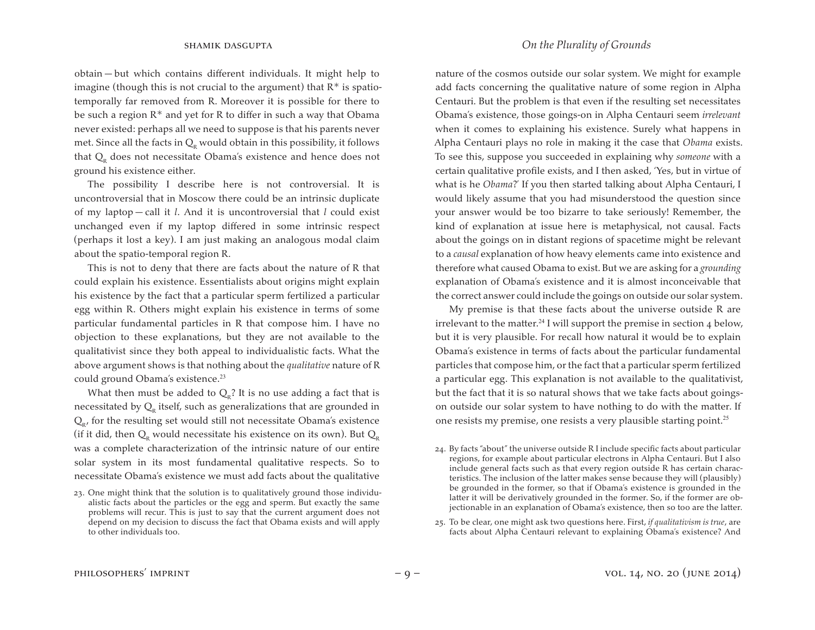obtain — but which contains different individuals. It might help to imagine (though this is not crucial to the argument) that  $R^*$  is spatiotemporally far removed from R. Moreover it is possible for there to be such a region  $R^*$  and yet for R to differ in such a way that Obama never existed: perhaps all we need to suppose is that his parents never met. Since all the facts in  $Q_{R}$  would obtain in this possibility, it follows that  $Q_{R}$  does not necessitate Obama's existence and hence does not ground his existence either.

The possibility I describe here is not controversial. It is uncontroversial that in Moscow there could be an intrinsic duplicate of my laptop — call it *l*. And it is uncontroversial that *l* could exist unchanged even if my laptop differed in some intrinsic respect (perhaps it lost a key). I am just making an analogous modal claim about the spatio-temporal region R.

This is not to deny that there are facts about the nature of R that could explain his existence. Essentialists about origins might explain his existence by the fact that a particular sperm fertilized a particular egg within R. Others might explain his existence in terms of some particular fundamental particles in R that compose him. I have no objection to these explanations, but they are not available to the qualitativist since they both appeal to individualistic facts. What the above argument shows is that nothing about the *qualitative* nature of R could ground Obama's existence.<sup>23</sup>

What then must be added to  $Q<sub>R</sub>$ ? It is no use adding a fact that is necessitated by  $Q<sub>R</sub>$  itself, such as generalizations that are grounded in  $Q_{R}$ , for the resulting set would still not necessitate Obama's existence (if it did, then  $Q_{R}$  would necessitate his existence on its own). But  $Q_{R}$ was a complete characterization of the intrinsic nature of our entire solar system in its most fundamental qualitative respects. So to necessitate Obama's existence we must add facts about the qualitative nature of the cosmos outside our solar system. We might for example add facts concerning the qualitative nature of some region in Alpha Centauri. But the problem is that even if the resulting set necessitates Obama's existence, those goings-on in Alpha Centauri seem *irrelevant*  when it comes to explaining his existence. Surely what happens in Alpha Centauri plays no role in making it the case that *Obama* exists. To see this, suppose you succeeded in explaining why *someone* with a certain qualitative profile exists, and I then asked, 'Yes, but in virtue of what is he *Obama*?' If you then started talking about Alpha Centauri, I would likely assume that you had misunderstood the question since your answer would be too bizarre to take seriously! Remember, the kind of explanation at issue here is metaphysical, not causal. Facts about the goings on in distant regions of spacetime might be relevant to a *causal* explanation of how heavy elements came into existence and therefore what caused Obama to exist. But we are asking for a *grounding*  explanation of Obama's existence and it is almost inconceivable that the correct answer could include the goings on outside our solar system.

My premise is that these facts about the universe outside R are irrelevant to the matter.<sup>24</sup> I will support the premise in section 4 below, but it is very plausible. For recall how natural it would be to explain Obama's existence in terms of facts about the particular fundamental particles that compose him, or the fact that a particular sperm fertilized a particular egg. This explanation is not available to the qualitativist, but the fact that it is so natural shows that we take facts about goingson outside our solar system to have nothing to do with the matter. If one resists my premise, one resists a very plausible starting point.<sup>25</sup>

25. To be clear, one might ask two questions here. First, *if qualitativism is true*, are facts about Alpha Centauri relevant to explaining Obama's existence? And

<sup>23.</sup> One might think that the solution is to qualitatively ground those individualistic facts about the particles or the egg and sperm. But exactly the same problems will recur. This is just to say that the current argument does not depend on my decision to discuss the fact that Obama exists and will apply to other individuals too.

<sup>24.</sup> By facts "about" the universe outside R I include specific facts about particular regions, for example about particular electrons in Alpha Centauri. But I also include general facts such as that every region outside R has certain characteristics. The inclusion of the latter makes sense because they will (plausibly) be grounded in the former, so that if Obama's existence is grounded in the latter it will be derivatively grounded in the former. So, if the former are objectionable in an explanation of Obama's existence, then so too are the latter.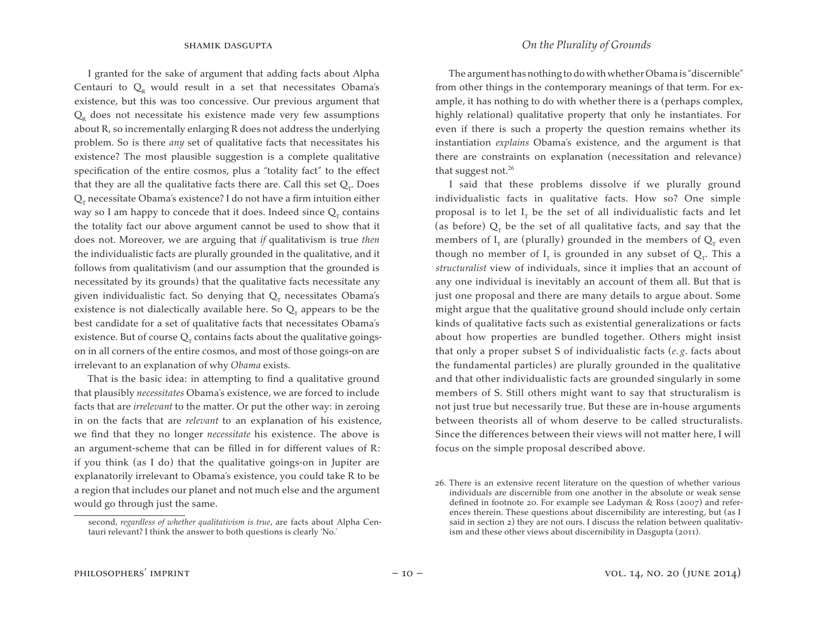I granted for the sake of argument that adding facts about Alpha Centauri to  $Q_{R}$  would result in a set that necessitates Obama's existence, but this was too concessive. Our previous argument that  $Q<sub>R</sub>$  does not necessitate his existence made very few assumptions about R, so incrementally enlarging R does not address the underlying problem. So is there *any* set of qualitative facts that necessitates his existence? The most plausible suggestion is a complete qualitative specification of the entire cosmos, plus a "totality fact" to the effect that they are all the qualitative facts there are. Call this set  $Q_{T}$ . Does  $Q<sub>r</sub>$  necessitate Obama's existence? I do not have a firm intuition either way so I am happy to concede that it does. Indeed since  $Q<sub>r</sub>$  contains the totality fact our above argument cannot be used to show that it does not. Moreover, we are arguing that *if* qualitativism is true *then*  the individualistic facts are plurally grounded in the qualitative, and it follows from qualitativism (and our assumption that the grounded is necessitated by its grounds) that the qualitative facts necessitate any given individualistic fact. So denying that  $Q<sub>r</sub>$  necessitates Obama's existence is not dialectically available here. So  $Q_r$  appears to be the best candidate for a set of qualitative facts that necessitates Obama's existence. But of course  $Q<sub>r</sub>$  contains facts about the qualitative goingson in all corners of the entire cosmos, and most of those goings-on are irrelevant to an explanation of why *Obama* exists.

That is the basic idea: in attempting to find a qualitative ground that plausibly *necessitates* Obama's existence, we are forced to include facts that are *irrelevant* to the matter. Or put the other way: in zeroing in on the facts that are *relevant* to an explanation of his existence, we find that they no longer *necessitate* his existence. The above is an argument-scheme that can be filled in for different values of R: if you think (as I do) that the qualitative goings-on in Jupiter are explanatorily irrelevant to Obama's existence, you could take R to be a region that includes our planet and not much else and the argument would go through just the same.

The argument has nothing to do with whether Obama is "discernible" from other things in the contemporary meanings of that term. For example, it has nothing to do with whether there is a (perhaps complex, highly relational) qualitative property that only he instantiates. For even if there is such a property the question remains whether its instantiation *explains* Obama's existence, and the argument is that there are constraints on explanation (necessitation and relevance) that suggest not.<sup>26</sup>

I said that these problems dissolve if we plurally ground individualistic facts in qualitative facts. How so? One simple proposal is to let  $I<sub>r</sub>$  be the set of all individualistic facts and let (as before)  $Q_r$  be the set of all qualitative facts, and say that the members of  $I<sub>T</sub>$  are (plurally) grounded in the members of  $Q<sub>T</sub>$  even though no member of  $I_T$  is grounded in any subset of  $Q_T$ . This a *structuralist* view of individuals, since it implies that an account of any one individual is inevitably an account of them all. But that is just one proposal and there are many details to argue about. Some might argue that the qualitative ground should include only certain kinds of qualitative facts such as existential generalizations or facts about how properties are bundled together. Others might insist that only a proper subset S of individualistic facts (*e. g*. facts about the fundamental particles) are plurally grounded in the qualitative and that other individualistic facts are grounded singularly in some members of S. Still others might want to say that structuralism is not just true but necessarily true. But these are in-house arguments between theorists all of whom deserve to be called structuralists. Since the differences between their views will not matter here, I will focus on the simple proposal described above.

second, *regardless of whether qualitativism is true*, are facts about Alpha Centauri relevant? I think the answer to both questions is clearly 'No.'

<sup>26.</sup> There is an extensive recent literature on the question of whether various individuals are discernible from one another in the absolute or weak sense defined in footnote 20. For example see Ladyman & Ross (2007) and references therein. These questions about discernibility are interesting, but (as I said in section 2) they are not ours. I discuss the relation between qualitativism and these other views about discernibility in Dasgupta (2011).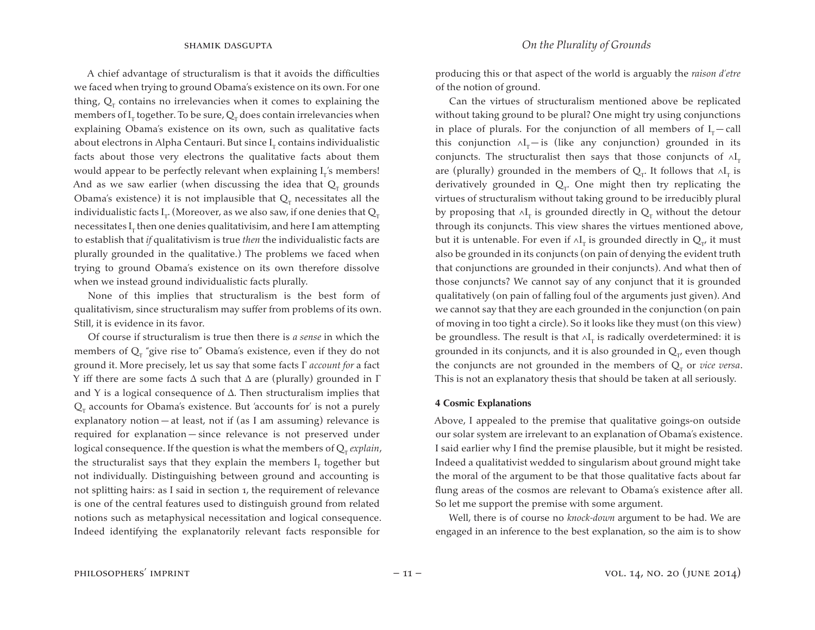A chief advantage of structuralism is that it avoids the difficulties we faced when trying to ground Obama's existence on its own. For one thing,  $Q_r$  contains no irrelevancies when it comes to explaining the members of  $\boldsymbol{\mathrm{I}}_{\text{r}}$  together. To be sure,  $\boldsymbol{\mathrm{Q}}_{\text{r}}$  does contain irrelevancies when explaining Obama's existence on its own, such as qualitative facts about electrons in Alpha Centauri. But since  $\mathrm{I}_\mathrm{r}$  contains individualistic facts about those very electrons the qualitative facts about them would appear to be perfectly relevant when explaining  ${\rm I}_{{\rm T}}$ 's members! And as we saw earlier (when discussing the idea that  $Q<sub>r</sub>$  grounds Obama's existence) it is not implausible that  $Q_T$  necessitates all the individualistic facts  $\text{I}_\text{r}$ . (Moreover, as we also saw, if one denies that  $\text{Q}_\text{r}$ necessitates  $\mathbf{I}_{\rm r}$  then one denies qualitativisim, and here I am attempting to establish that *if* qualitativism is true *then* the individualistic facts are plurally grounded in the qualitative.) The problems we faced when trying to ground Obama's existence on its own therefore dissolve when we instead ground individualistic facts plurally.

None of this implies that structuralism is the best form of qualitativism, since structuralism may suffer from problems of its own. Still, it is evidence in its favor.

Of course if structuralism is true then there is *a sense* in which the members of  $Q_r$  "give rise to" Obama's existence, even if they do not ground it. More precisely, let us say that some facts Γ *account for* a fact Y iff there are some facts  $\Delta$  such that  $\Delta$  are (plurally) grounded in  $\Gamma$ and Y is a logical consequence of  $\Delta$ . Then structuralism implies that  $Q<sub>r</sub>$  accounts for Obama's existence. But 'accounts for' is not a purely explanatory notion — at least, not if (as I am assuming) relevance is required for explanation — since relevance is not preserved under logical consequence. If the question is what the members of  $Q_r$  *explain*, the structuralist says that they explain the members  $\boldsymbol{\mathrm{I}}_{_{\mathop{\mathrm{T}}}}$  together but not individually. Distinguishing between ground and accounting is not splitting hairs: as I said in section 1, the requirement of relevance is one of the central features used to distinguish ground from related notions such as metaphysical necessitation and logical consequence. Indeed identifying the explanatorily relevant facts responsible for

producing this or that aspect of the world is arguably the *raison d'etre*  of the notion of ground.

Can the virtues of structuralism mentioned above be replicated without taking ground to be plural? One might try using conjunctions in place of plurals. For the conjunction of all members of  $I_T-$  call this conjunction  $\wedge I$ <sub>T</sub> — is (like any conjunction) grounded in its conjuncts. The structuralist then says that those conjuncts of  $\wedge I_{\textrm{\tiny T}}$ are (plurally) grounded in the members of  $\mathsf{Q}_\textsc{t}$ . It follows that  $\wedge \mathsf{I}_\textsc{t}$  is derivatively grounded in  $Q_T$ . One might then try replicating the virtues of structuralism without taking ground to be irreducibly plural by proposing that  $\wedge {\rm I}_{_{\rm T}}$  is grounded directly in  ${\rm Q}_{_{\rm T}}$  without the detour through its conjuncts. This view shares the virtues mentioned above, but it is untenable. For even if ∧I<sub>r</sub> is grounded directly in  $\mathrm{Q}_{_{\texttt{I}'}}$  it must also be grounded in its conjuncts (on pain of denying the evident truth that conjunctions are grounded in their conjuncts). And what then of those conjuncts? We cannot say of any conjunct that it is grounded qualitatively (on pain of falling foul of the arguments just given). And we cannot say that they are each grounded in the conjunction (on pain of moving in too tight a circle). So it looks like they must (on this view) be groundless. The result is that ∧I<sub>r</sub> is radically overdetermined: it is grounded in its conjuncts, and it is also grounded in  $Q_{\tau}$ , even though the conjuncts are not grounded in the members of  $Q_T$  or *vice versa*. This is not an explanatory thesis that should be taken at all seriously.

#### **4 Cosmic Explanations**

Above, I appealed to the premise that qualitative goings-on outside our solar system are irrelevant to an explanation of Obama's existence. I said earlier why I find the premise plausible, but it might be resisted. Indeed a qualitativist wedded to singularism about ground might take the moral of the argument to be that those qualitative facts about far flung areas of the cosmos are relevant to Obama's existence after all. So let me support the premise with some argument.

Well, there is of course no *knock-down* argument to be had. We are engaged in an inference to the best explanation, so the aim is to show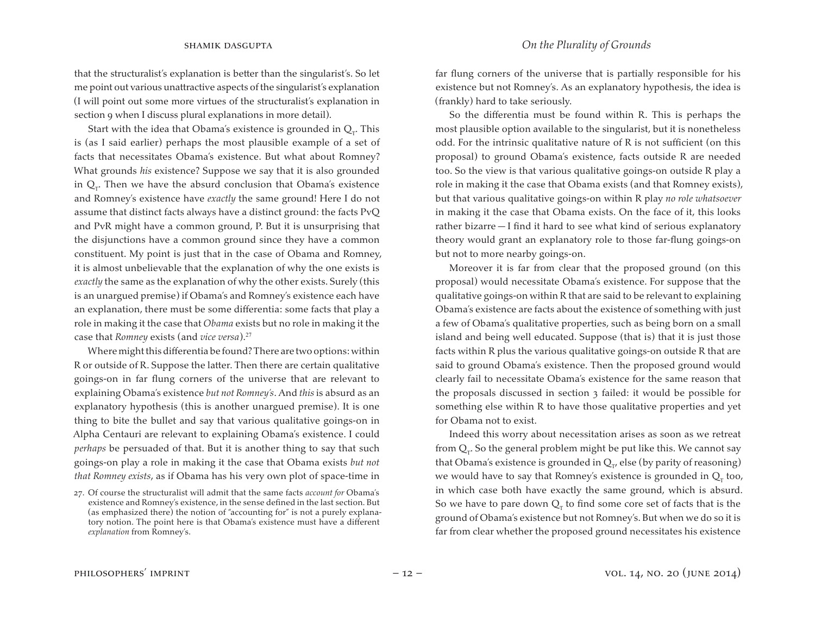that the structuralist's explanation is better than the singularist's. So let me point out various unattractive aspects of the singularist's explanation (I will point out some more virtues of the structuralist's explanation in section 9 when I discuss plural explanations in more detail).

Start with the idea that Obama's existence is grounded in  $Q_T$ . This is (as I said earlier) perhaps the most plausible example of a set of facts that necessitates Obama's existence. But what about Romney? What grounds *his* existence? Suppose we say that it is also grounded in  $Q_T$ . Then we have the absurd conclusion that Obama's existence and Romney's existence have *exactly* the same ground! Here I do not assume that distinct facts always have a distinct ground: the facts PvQ and PvR might have a common ground, P. But it is unsurprising that the disjunctions have a common ground since they have a common constituent. My point is just that in the case of Obama and Romney, it is almost unbelievable that the explanation of why the one exists is *exactly* the same as the explanation of why the other exists. Surely (this is an unargued premise) if Obama's and Romney's existence each have an explanation, there must be some differentia: some facts that play a role in making it the case that *Obama* exists but no role in making it the case that *Romney* exists (and *vice versa*).<sup>27</sup>

Where might this differentia be found? There are two options: within R or outside of R. Suppose the latter. Then there are certain qualitative goings-on in far flung corners of the universe that are relevant to explaining Obama's existence *but not Romney's*. And *this* is absurd as an explanatory hypothesis (this is another unargued premise). It is one thing to bite the bullet and say that various qualitative goings-on in Alpha Centauri are relevant to explaining Obama's existence. I could *perhaps* be persuaded of that. But it is another thing to say that such goings-on play a role in making it the case that Obama exists *but not that Romney exists*, as if Obama has his very own plot of space-time in far flung corners of the universe that is partially responsible for his existence but not Romney's. As an explanatory hypothesis, the idea is (frankly) hard to take seriously.

So the differentia must be found within R. This is perhaps the most plausible option available to the singularist, but it is nonetheless odd. For the intrinsic qualitative nature of R is not sufficient (on this proposal) to ground Obama's existence, facts outside R are needed too. So the view is that various qualitative goings-on outside R play a role in making it the case that Obama exists (and that Romney exists), but that various qualitative goings-on within R play *no role whatsoever*  in making it the case that Obama exists. On the face of it, this looks rather bizarre — I find it hard to see what kind of serious explanatory theory would grant an explanatory role to those far-flung goings-on but not to more nearby goings-on.

Moreover it is far from clear that the proposed ground (on this proposal) would necessitate Obama's existence. For suppose that the qualitative goings-on within R that are said to be relevant to explaining Obama's existence are facts about the existence of something with just a few of Obama's qualitative properties, such as being born on a small island and being well educated. Suppose (that is) that it is just those facts within R plus the various qualitative goings-on outside R that are said to ground Obama's existence. Then the proposed ground would clearly fail to necessitate Obama's existence for the same reason that the proposals discussed in section 3 failed: it would be possible for something else within R to have those qualitative properties and yet for Obama not to exist.

Indeed this worry about necessitation arises as soon as we retreat from  $Q_r$ . So the general problem might be put like this. We cannot say that Obama's existence is grounded in  $Q_{\tau}$  else (by parity of reasoning) we would have to say that Romney's existence is grounded in  $Q<sub>r</sub>$  too, in which case both have exactly the same ground, which is absurd. So we have to pare down  $Q<sub>\tau</sub>$  to find some core set of facts that is the ground of Obama's existence but not Romney's. But when we do so it is far from clear whether the proposed ground necessitates his existence

<sup>27.</sup> Of course the structuralist will admit that the same facts *account for* Obama's existence and Romney's existence, in the sense defined in the last section. But (as emphasized there) the notion of "accounting for" is not a purely explanatory notion. The point here is that Obama's existence must have a different *explanation* from Romney's.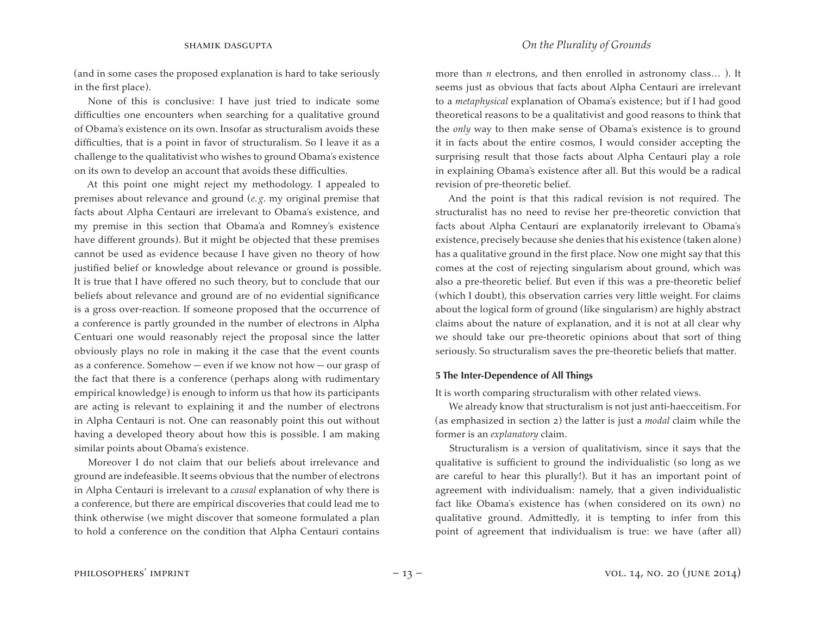(and in some cases the proposed explanation is hard to take seriously in the first place).

None of this is conclusive: I have just tried to indicate some difficulties one encounters when searching for a qualitative ground of Obama's existence on its own. Insofar as structuralism avoids these difficulties, that is a point in favor of structuralism. So I leave it as a challenge to the qualitativist who wishes to ground Obama's existence on its own to develop an account that avoids these difficulties.

At this point one might reject my methodology. I appealed to premises about relevance and ground (*e. g*. my original premise that facts about Alpha Centauri are irrelevant to Obama's existence, and my premise in this section that Obama'a and Romney's existence have different grounds). But it might be objected that these premises cannot be used as evidence because I have given no theory of how justified belief or knowledge about relevance or ground is possible. It is true that I have offered no such theory, but to conclude that our beliefs about relevance and ground are of no evidential significance is a gross over-reaction. If someone proposed that the occurrence of a conference is partly grounded in the number of electrons in Alpha Centuari one would reasonably reject the proposal since the latter obviously plays no role in making it the case that the event counts as a conference. Somehow — even if we know not how — our grasp of the fact that there is a conference (perhaps along with rudimentary empirical knowledge) is enough to inform us that how its participants are acting is relevant to explaining it and the number of electrons in Alpha Centauri is not. One can reasonably point this out without having a developed theory about how this is possible. I am making similar points about Obama's existence.

Moreover I do not claim that our beliefs about irrelevance and ground are indefeasible. It seems obvious that the number of electrons in Alpha Centauri is irrelevant to a *causal* explanation of why there is a conference, but there are empirical discoveries that could lead me to think otherwise (we might discover that someone formulated a plan to hold a conference on the condition that Alpha Centauri contains more than *n* electrons, and then enrolled in astronomy class… ). It seems just as obvious that facts about Alpha Centauri are irrelevant to a *metaphysical* explanation of Obama's existence; but if I had good theoretical reasons to be a qualitativist and good reasons to think that the *only* way to then make sense of Obama's existence is to ground it in facts about the entire cosmos, I would consider accepting the surprising result that those facts about Alpha Centauri play a role in explaining Obama's existence after all. But this would be a radical revision of pre-theoretic belief.

And the point is that this radical revision is not required. The structuralist has no need to revise her pre-theoretic conviction that facts about Alpha Centauri are explanatorily irrelevant to Obama's existence, precisely because she denies that his existence (taken alone) has a qualitative ground in the first place. Now one might say that this comes at the cost of rejecting singularism about ground, which was also a pre-theoretic belief. But even if this was a pre-theoretic belief (which I doubt), this observation carries very little weight. For claims about the logical form of ground (like singularism) are highly abstract claims about the nature of explanation, and it is not at all clear why we should take our pre-theoretic opinions about that sort of thing seriously. So structuralism saves the pre-theoretic beliefs that matter.

#### **5 The Inter-Dependence of All Things**

It is worth comparing structuralism with other related views.

We already know that structuralism is not just anti-haecceitism. For (as emphasized in section 2) the latter is just a *modal* claim while the former is an *explanatory* claim.

Structuralism is a version of qualitativism, since it says that the qualitative is sufficient to ground the individualistic (so long as we are careful to hear this plurally!). But it has an important point of agreement with individualism: namely, that a given individualistic fact like Obama's existence has (when considered on its own) no qualitative ground. Admittedly, it is tempting to infer from this point of agreement that individualism is true: we have (after all)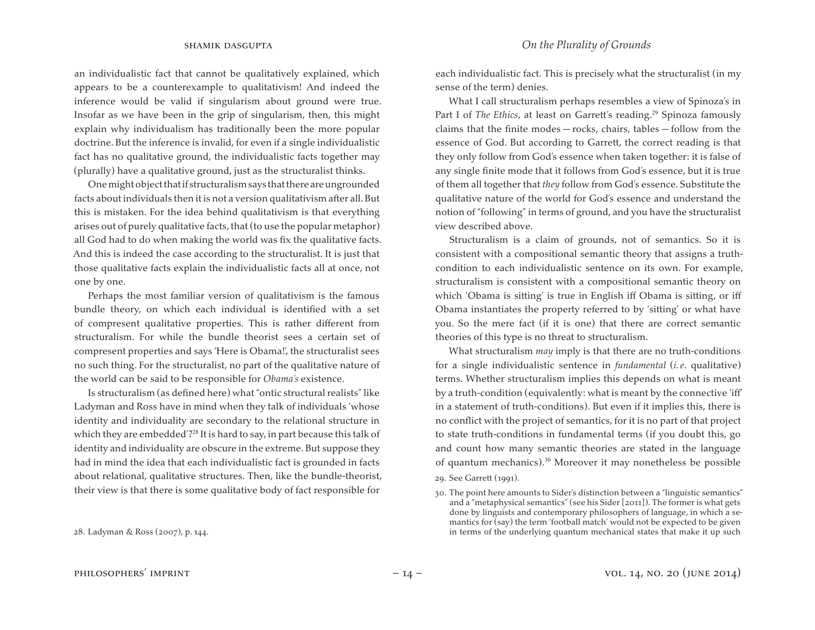an individualistic fact that cannot be qualitatively explained, which appears to be a counterexample to qualitativism! And indeed the inference would be valid if singularism about ground were true. Insofar as we have been in the grip of singularism, then, this might explain why individualism has traditionally been the more popular doctrine. But the inference is invalid, for even if a single individualistic fact has no qualitative ground, the individualistic facts together may (plurally) have a qualitative ground, just as the structuralist thinks.

Onemightobjectthatif structuralismsays thatthereareungrounded facts about individuals then it is not a version qualitativism after all.But this is mistaken. For the idea behind qualitativism is that everything arises out of purely qualitative facts, that (to use the popular metaphor) all God had to do when making the world was fix the qualitative facts. And this is indeed the case according to the structuralist. It is just that those qualitative facts explain the individualistic facts all at once, not one by one.

Perhaps the most familiar version of qualitativism is the famous bundle theory, on which each individual is identified with a set of compresent qualitative properties. This is rather different from structuralism. For while the bundle theorist sees a certain set of compresent properties and says 'Here is Obama!', the structuralist sees no such thing. For the structuralist, no part of the qualitative nature of the world can be said to be responsible for *Obama's* existence.

Is structuralism (as defined here) what "ontic structural realists" like Ladyman and Ross have in mind when they talk of individuals 'whose identity and individuality are secondary to the relational structure in which they are embedded'?<sup>28</sup> It is hard to say, in part because this talk of identity and individuality are obscure in the extreme. But suppose they had in mind the idea that each individualistic fact is grounded in facts about relational, qualitative structures. Then, like the bundle-theorist, their view is that there is some qualitative body of fact responsible for

What I call structuralism perhaps resembles a view of Spinoza's in Part I of *The Ethics*, at least on Garrett's reading.<sup>29</sup> Spinoza famously claims that the finite modes — rocks, chairs, tables — follow from the essence of God. But according to Garrett, the correct reading is that they only follow from God's essence when taken together: it is false of any single finite mode that it follows from God's essence, but it is true of them all together that *they* follow from God's essence. Substitute the qualitative nature of the world for God's essence and understand the notion of "following" in terms of ground, and you have the structuralist view described above.

Structuralism is a claim of grounds, not of semantics. So it is consistent with a compositional semantic theory that assigns a truthcondition to each individualistic sentence on its own. For example, structuralism is consistent with a compositional semantic theory on which 'Obama is sitting' is true in English iff Obama is sitting, or iff Obama instantiates the property referred to by 'sitting' or what have you. So the mere fact (if it is one) that there are correct semantic theories of this type is no threat to structuralism.

What structuralism *may* imply is that there are no truth-conditions for a single individualistic sentence in *fundamental* (*i. e*. qualitative) terms. Whether structuralism implies this depends on what is meant by a truth-condition (equivalently: what is meant by the connective 'iff' in a statement of truth-conditions). But even if it implies this, there is no conflict with the project of semantics, for it is no part of that project to state truth-conditions in fundamental terms (if you doubt this, go and count how many semantic theories are stated in the language of quantum mechanics).<sup>30</sup> Moreover it may nonetheless be possible

29. See Garrett (1991).

each individualistic fact. This is precisely what the structuralist (in my sense of the term) denies.

<sup>30.</sup> The point here amounts to Sider's distinction between a "linguistic semantics" and a "metaphysical semantics" (see his Sider [2011]). The former is what gets done by linguists and contemporary philosophers of language, in which a semantics for (say) the term 'football match' would not be expected to be given in terms of the underlying quantum mechanical states that make it up such

<sup>28.</sup> Ladyman & Ross (2007), p. 144.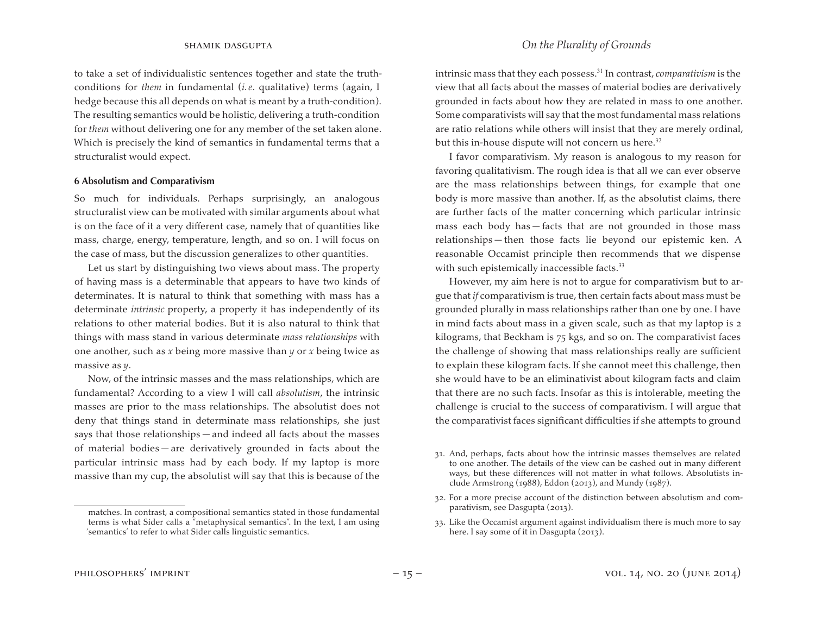to take a set of individualistic sentences together and state the truthconditions for *them* in fundamental (*i. e*. qualitative) terms (again, I hedge because this all depends on what is meant by a truth-condition). The resulting semantics would be holistic, delivering a truth-condition for *them* without delivering one for any member of the set taken alone. Which is precisely the kind of semantics in fundamental terms that a structuralist would expect.

#### **6 Absolutism and Comparativism**

So much for individuals. Perhaps surprisingly, an analogous structuralist view can be motivated with similar arguments about what is on the face of it a very different case, namely that of quantities like mass, charge, energy, temperature, length, and so on. I will focus on the case of mass, but the discussion generalizes to other quantities.

Let us start by distinguishing two views about mass. The property of having mass is a determinable that appears to have two kinds of determinates. It is natural to think that something with mass has a determinate *intrinsic* property, a property it has independently of its relations to other material bodies. But it is also natural to think that things with mass stand in various determinate *mass relationships* with one another, such as *x* being more massive than *y* or *x* being twice as massive as *y*.

Now, of the intrinsic masses and the mass relationships, which are fundamental? According to a view I will call *absolutism*, the intrinsic masses are prior to the mass relationships. The absolutist does not deny that things stand in determinate mass relationships, she just says that those relationships — and indeed all facts about the masses of material bodies — are derivatively grounded in facts about the particular intrinsic mass had by each body. If my laptop is more massive than my cup, the absolutist will say that this is because of the intrinsic mass that they each possess.<sup>31</sup> In contrast, *comparativism* is the view that all facts about the masses of material bodies are derivatively grounded in facts about how they are related in mass to one another. Some comparativists will say that the most fundamental mass relations are ratio relations while others will insist that they are merely ordinal, but this in-house dispute will not concern us here.<sup>32</sup>

I favor comparativism. My reason is analogous to my reason for favoring qualitativism. The rough idea is that all we can ever observe are the mass relationships between things, for example that one body is more massive than another. If, as the absolutist claims, there are further facts of the matter concerning which particular intrinsic mass each body has — facts that are not grounded in those mass relationships — then those facts lie beyond our epistemic ken. A reasonable Occamist principle then recommends that we dispense with such epistemically inaccessible facts.<sup>33</sup>

However, my aim here is not to argue for comparativism but to argue that *if* comparativism is true, then certain facts about mass must be grounded plurally in mass relationships rather than one by one. I have in mind facts about mass in a given scale, such as that my laptop is 2 kilograms, that Beckham is 75 kgs, and so on. The comparativist faces the challenge of showing that mass relationships really are sufficient to explain these kilogram facts. If she cannot meet this challenge, then she would have to be an eliminativist about kilogram facts and claim that there are no such facts. Insofar as this is intolerable, meeting the challenge is crucial to the success of comparativism. I will argue that the comparativist faces significant difficulties if she attempts to ground

33. Like the Occamist argument against individualism there is much more to say here. I say some of it in Dasgupta (2013).

matches. In contrast, a compositional semantics stated in those fundamental terms is what Sider calls a "metaphysical semantics". In the text, I am using 'semantics' to refer to what Sider calls linguistic semantics.

<sup>31.</sup> And, perhaps, facts about how the intrinsic masses themselves are related to one another. The details of the view can be cashed out in many different ways, but these differences will not matter in what follows. Absolutists include Armstrong (1988), Eddon (2013), and Mundy (1987).

<sup>32.</sup> For a more precise account of the distinction between absolutism and comparativism, see Dasgupta (2013).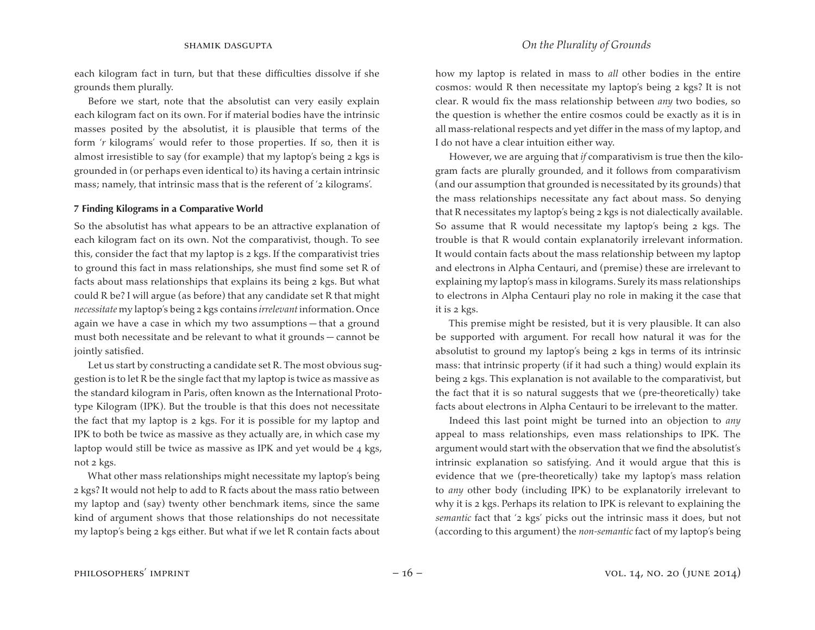each kilogram fact in turn, but that these difficulties dissolve if she grounds them plurally.

Before we start, note that the absolutist can very easily explain each kilogram fact on its own. For if material bodies have the intrinsic masses posited by the absolutist, it is plausible that terms of the form '*r* kilograms' would refer to those properties. If so, then it is almost irresistible to say (for example) that my laptop's being 2 kgs is grounded in (or perhaps even identical to) its having a certain intrinsic mass; namely, that intrinsic mass that is the referent of '2 kilograms'.

### **7 Finding Kilograms in a Comparative World**

So the absolutist has what appears to be an attractive explanation of each kilogram fact on its own. Not the comparativist, though. To see this, consider the fact that my laptop is 2 kgs. If the comparativist tries to ground this fact in mass relationships, she must find some set R of facts about mass relationships that explains its being 2 kgs. But what could R be? I will argue (as before) that any candidate set R that might *necessitate* my laptop's being 2 kgs contains *irrelevant* information. Once again we have a case in which my two assumptions — that a ground must both necessitate and be relevant to what it grounds — cannot be jointly satisfied.

Let us start by constructing a candidate set R. The most obvious suggestion is to let R be the single fact that my laptop is twice as massive as the standard kilogram in Paris, often known as the International Prototype Kilogram (IPK). But the trouble is that this does not necessitate the fact that my laptop is 2 kgs. For it is possible for my laptop and IPK to both be twice as massive as they actually are, in which case my laptop would still be twice as massive as IPK and yet would be 4 kgs, not 2 kgs.

What other mass relationships might necessitate my laptop's being 2 kgs? It would not help to add to R facts about the mass ratio between my laptop and (say) twenty other benchmark items, since the same kind of argument shows that those relationships do not necessitate my laptop's being 2 kgs either. But what if we let R contain facts about how my laptop is related in mass to *all* other bodies in the entire cosmos: would R then necessitate my laptop's being 2 kgs? It is not clear. R would fix the mass relationship between *any* two bodies, so the question is whether the entire cosmos could be exactly as it is in all mass-relational respects and yet differ in the mass of my laptop, and I do not have a clear intuition either way.

However, we are arguing that *if* comparativism is true then the kilogram facts are plurally grounded, and it follows from comparativism (and our assumption that grounded is necessitated by its grounds) that the mass relationships necessitate any fact about mass. So denying that R necessitates my laptop's being 2 kgs is not dialectically available. So assume that R would necessitate my laptop's being 2 kgs. The trouble is that R would contain explanatorily irrelevant information. It would contain facts about the mass relationship between my laptop and electrons in Alpha Centauri, and (premise) these are irrelevant to explaining my laptop's mass in kilograms. Surely its mass relationships to electrons in Alpha Centauri play no role in making it the case that it is 2 kgs.

This premise might be resisted, but it is very plausible. It can also be supported with argument. For recall how natural it was for the absolutist to ground my laptop's being 2 kgs in terms of its intrinsic mass: that intrinsic property (if it had such a thing) would explain its being 2 kgs. This explanation is not available to the comparativist, but the fact that it is so natural suggests that we (pre-theoretically) take facts about electrons in Alpha Centauri to be irrelevant to the matter.

Indeed this last point might be turned into an objection to *any*  appeal to mass relationships, even mass relationships to IPK. The argument would start with the observation that we find the absolutist's intrinsic explanation so satisfying. And it would argue that this is evidence that we (pre-theoretically) take my laptop's mass relation to *any* other body (including IPK) to be explanatorily irrelevant to why it is 2 kgs. Perhaps its relation to IPK is relevant to explaining the *semantic* fact that '2 kgs' picks out the intrinsic mass it does, but not (according to this argument) the *non-semantic* fact of my laptop's being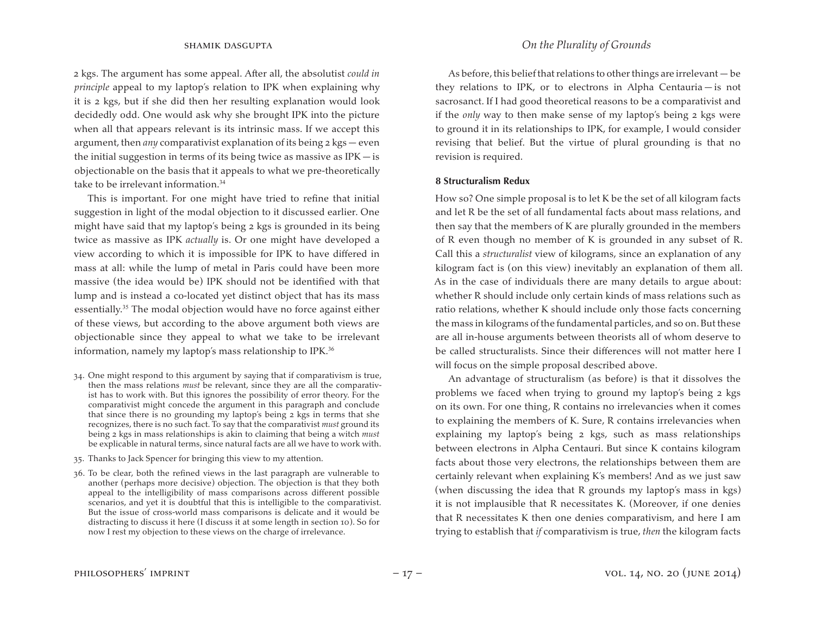2 kgs. The argument has some appeal. After all, the absolutist *could in principle* appeal to my laptop's relation to IPK when explaining why it is 2 kgs, but if she did then her resulting explanation would look decidedly odd. One would ask why she brought IPK into the picture when all that appears relevant is its intrinsic mass. If we accept this argument, then *any* comparativist explanation of its being 2 kgs — even the initial suggestion in terms of its being twice as massive as  $IPK - is$ objectionable on the basis that it appeals to what we pre-theoretically take to be irrelevant information.<sup>34</sup>

This is important. For one might have tried to refine that initial suggestion in light of the modal objection to it discussed earlier. One might have said that my laptop's being 2 kgs is grounded in its being twice as massive as IPK *actually* is. Or one might have developed a view according to which it is impossible for IPK to have differed in mass at all: while the lump of metal in Paris could have been more massive (the idea would be) IPK should not be identified with that lump and is instead a co-located yet distinct object that has its mass essentially.<sup>35</sup> The modal objection would have no force against either of these views, but according to the above argument both views are objectionable since they appeal to what we take to be irrelevant information, namely my laptop's mass relationship to IPK.<sup>36</sup>

- 34. One might respond to this argument by saying that if comparativism is true, then the mass relations *must* be relevant, since they are all the comparativist has to work with. But this ignores the possibility of error theory. For the comparativist might concede the argument in this paragraph and conclude that since there is no grounding my laptop's being 2 kgs in terms that she recognizes, there is no such fact. To say that the comparativist *must* ground its being 2 kgs in mass relationships is akin to claiming that being a witch *must*  be explicable in natural terms, since natural facts are all we have to work with.
- 35. Thanks to Jack Spencer for bringing this view to my attention.

36. To be clear, both the refined views in the last paragraph are vulnerable to another (perhaps more decisive) objection. The objection is that they both appeal to the intelligibility of mass comparisons across different possible scenarios, and yet it is doubtful that this is intelligible to the comparativist. But the issue of cross-world mass comparisons is delicate and it would be distracting to discuss it here (I discuss it at some length in section 10). So for now I rest my objection to these views on the charge of irrelevance.

As before, this belief that relations to other things are irrelevant  $-$  be they relations to IPK, or to electrons in Alpha Centauria — is not sacrosanct. If I had good theoretical reasons to be a comparativist and if the *only* way to then make sense of my laptop's being 2 kgs were to ground it in its relationships to IPK, for example, I would consider revising that belief. But the virtue of plural grounding is that no revision is required.

### **8 Structuralism Redux**

How so? One simple proposal is to let K be the set of all kilogram facts and let R be the set of all fundamental facts about mass relations, and then say that the members of K are plurally grounded in the members of R even though no member of K is grounded in any subset of R. Call this a *structuralist* view of kilograms, since an explanation of any kilogram fact is (on this view) inevitably an explanation of them all. As in the case of individuals there are many details to argue about: whether R should include only certain kinds of mass relations such as ratio relations, whether K should include only those facts concerning the mass in kilograms of the fundamental particles, and so on. But these are all in-house arguments between theorists all of whom deserve to be called structuralists. Since their differences will not matter here I will focus on the simple proposal described above.

An advantage of structuralism (as before) is that it dissolves the problems we faced when trying to ground my laptop's being 2 kgs on its own. For one thing, R contains no irrelevancies when it comes to explaining the members of K. Sure, R contains irrelevancies when explaining my laptop's being 2 kgs, such as mass relationships between electrons in Alpha Centauri. But since K contains kilogram facts about those very electrons, the relationships between them are certainly relevant when explaining K's members! And as we just saw (when discussing the idea that R grounds my laptop's mass in kgs) it is not implausible that R necessitates K. (Moreover, if one denies that R necessitates K then one denies comparativism, and here I am trying to establish that *if* comparativism is true, *then* the kilogram facts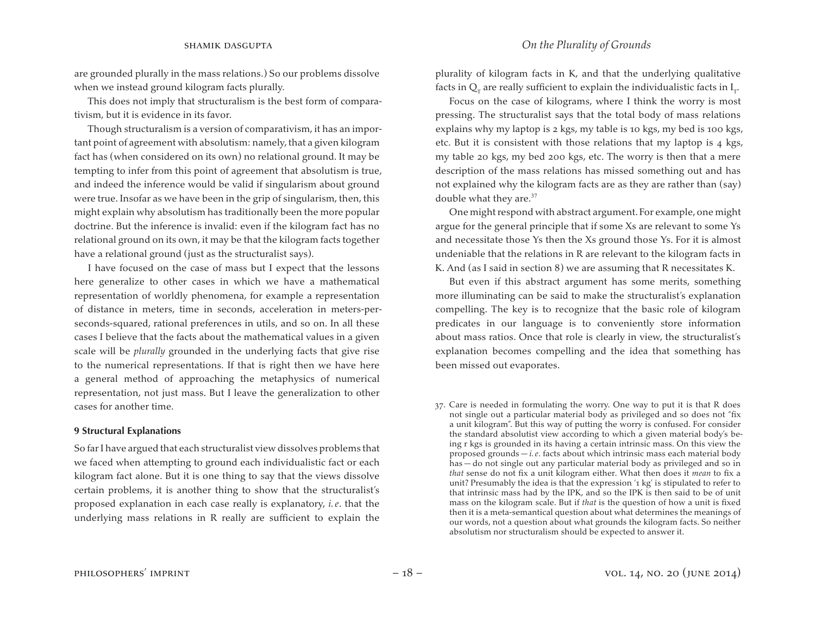### shamik dasgupta *On the Plurality of Grounds*

are grounded plurally in the mass relations.) So our problems dissolve when we instead ground kilogram facts plurally.

This does not imply that structuralism is the best form of comparativism, but it is evidence in its favor.

Though structuralism is a version of comparativism, it has an important point of agreement with absolutism: namely, that a given kilogram fact has (when considered on its own) no relational ground. It may be tempting to infer from this point of agreement that absolutism is true, and indeed the inference would be valid if singularism about ground were true. Insofar as we have been in the grip of singularism, then, this might explain why absolutism has traditionally been the more popular doctrine. But the inference is invalid: even if the kilogram fact has no relational ground on its own, it may be that the kilogram facts together have a relational ground (just as the structuralist says).

I have focused on the case of mass but I expect that the lessons here generalize to other cases in which we have a mathematical representation of worldly phenomena, for example a representation of distance in meters, time in seconds, acceleration in meters-perseconds-squared, rational preferences in utils, and so on. In all these cases I believe that the facts about the mathematical values in a given scale will be *plurally* grounded in the underlying facts that give rise to the numerical representations. If that is right then we have here a general method of approaching the metaphysics of numerical representation, not just mass. But I leave the generalization to other cases for another time.

#### **9 Structural Explanations**

So farI have argued that each structuralist view dissolves problems that we faced when attempting to ground each individualistic fact or each kilogram fact alone. But it is one thing to say that the views dissolve certain problems, it is another thing to show that the structuralist's proposed explanation in each case really is explanatory, *i. e*. that the underlying mass relations in R really are sufficient to explain the plurality of kilogram facts in K, and that the underlying qualitative facts in  $\mathsf{Q}_\mathrm{r}$  are really sufficient to explain the individualistic facts in  $\mathrm{I}_\mathrm{r}$ .

Focus on the case of kilograms, where I think the worry is most pressing. The structuralist says that the total body of mass relations explains why my laptop is 2 kgs, my table is 10 kgs, my bed is 100 kgs, etc. But it is consistent with those relations that my laptop is 4 kgs, my table 20 kgs, my bed 200 kgs, etc. The worry is then that a mere description of the mass relations has missed something out and has not explained why the kilogram facts are as they are rather than (say) double what they are.<sup>37</sup>

One might respond with abstract argument. For example, one might argue for the general principle that if some Xs are relevant to some Ys and necessitate those Ys then the Xs ground those Ys. For it is almost undeniable that the relations in R are relevant to the kilogram facts in K. And (as I said in section 8) we are assuming that R necessitates K.

But even if this abstract argument has some merits, something more illuminating can be said to make the structuralist's explanation compelling. The key is to recognize that the basic role of kilogram predicates in our language is to conveniently store information about mass ratios. Once that role is clearly in view, the structuralist's explanation becomes compelling and the idea that something has been missed out evaporates.

37. Care is needed in formulating the worry. One way to put it is that R does not single out a particular material body as privileged and so does not "fix a unit kilogram". But this way of putting the worry is confused. For consider the standard absolutist view according to which a given material body's being r kgs is grounded in its having a certain intrinsic mass. On this view the proposed grounds — *i. e*. facts about which intrinsic mass each material body has — do not single out any particular material body as privileged and so in *that* sense do not fix a unit kilogram either. What then does it *mean* to fix a unit? Presumably the idea is that the expression '1 kg' is stipulated to refer to that intrinsic mass had by the IPK, and so the IPK is then said to be of unit mass on the kilogram scale. But if *that* is the question of how a unit is fixed then it is a meta-semantical question about what determines the meanings of our words, not a question about what grounds the kilogram facts. So neither absolutism nor structuralism should be expected to answer it.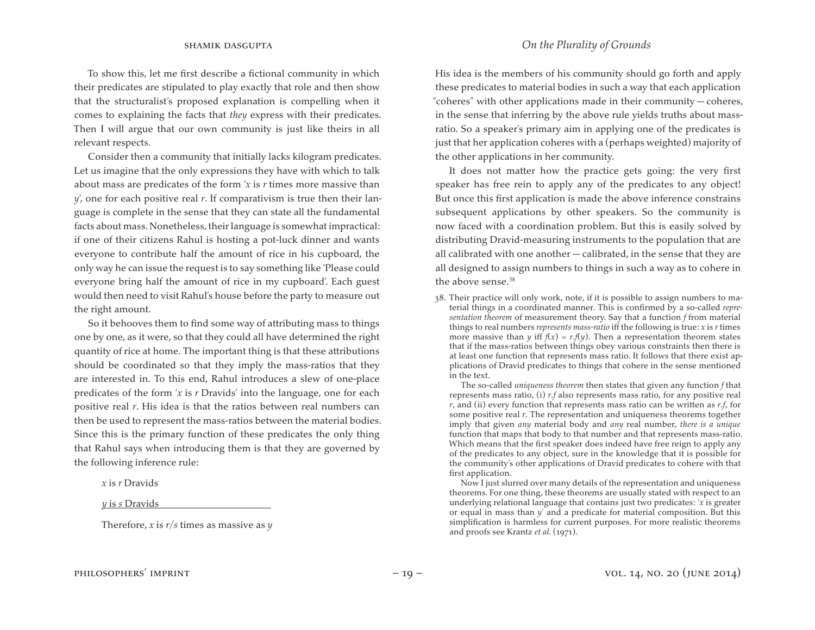To show this, let me first describe a fictional community in which their predicates are stipulated to play exactly that role and then show that the structuralist's proposed explanation is compelling when it comes to explaining the facts that *they* express with their predicates. Then I will argue that our own community is just like theirs in all relevant respects.

Consider then a community that initially lacks kilogram predicates. Let us imagine that the only expressions they have with which to talk about mass are predicates of the form '*x* is *r* times more massive than *y*', one for each positive real *r*. If comparativism is true then their language is complete in the sense that they can state all the fundamental facts about mass. Nonetheless, their language is somewhat impractical: if one of their citizens Rahul is hosting a pot-luck dinner and wants everyone to contribute half the amount of rice in his cupboard, the only way he can issue the request is to say something like 'Please could everyone bring half the amount of rice in my cupboard'. Each guest would then need to visit Rahul's house before the party to measure out the right amount.

So it behooves them to find some way of attributing mass to things one by one, as it were, so that they could all have determined the right quantity of rice at home. The important thing is that these attributions should be coordinated so that they imply the mass-ratios that they are interested in. To this end, Rahul introduces a slew of one-place predicates of the form '*x* is *r* Dravids' into the language, one for each positive real *r*. His idea is that the ratios between real numbers can then be used to represent the mass-ratios between the material bodies. Since this is the primary function of these predicates the only thing that Rahul says when introducing them is that they are governed by the following inference rule:

*x* is *r* Dravids

*y* is *s* Dravids

Therefore, *x* is *r*/*s* times as massive as *y* 

### shamik dasgupta *On the Plurality of Grounds*

His idea is the members of his community should go forth and apply these predicates to material bodies in such a way that each application "coheres" with other applications made in their community — coheres, in the sense that inferring by the above rule yields truths about massratio. So a speaker's primary aim in applying one of the predicates is just that her application coheres with a (perhaps weighted) majority of the other applications in her community.

It does not matter how the practice gets going: the very first speaker has free rein to apply any of the predicates to any object! But once this first application is made the above inference constrains subsequent applications by other speakers. So the community is now faced with a coordination problem. But this is easily solved by distributing Dravid-measuring instruments to the population that are all calibrated with one another — calibrated, in the sense that they are all designed to assign numbers to things in such a way as to cohere in the above sense.<sup>38</sup>

38. Their practice will only work, note, if it is possible to assign numbers to material things in a coordinated manner. This is confirmed by a so-called *representation theorem* of measurement theory. Say that a function *f* from material things to real numbers *represents mass-ratio* iff the following is true: *x* is *r* times more massive than *y* iff  $f(x) = r \cdot f(y)$ . Then a representation theorem states that if the mass-ratios between things obey various constraints then there is at least one function that represents mass ratio. It follows that there exist applications of Dravid predicates to things that cohere in the sense mentioned in the text.

 The so-called *uniqueness theorem* then states that given any function *f* that represents mass ratio, (i) *r*.*f* also represents mass ratio, for any positive real *r*, and (ii) every function that represents mass ratio can be written as *r*.*f*, for some positive real *r*. The representation and uniqueness theorems together imply that given *any* material body and *any* real number, *there is a unique*  function that maps that body to that number and that represents mass-ratio. Which means that the first speaker does indeed have free reign to apply any of the predicates to any object, sure in the knowledge that it is possible for the community's other applications of Dravid predicates to cohere with that first application.

 Now I just slurred over many details of the representation and uniqueness theorems. For one thing, these theorems are usually stated with respect to an underlying relational language that contains just two predicates: '*x* is greater or equal in mass than *y*' and a predicate for material composition. But this simplification is harmless for current purposes. For more realistic theorems and proofs see Krantz et al. (1971).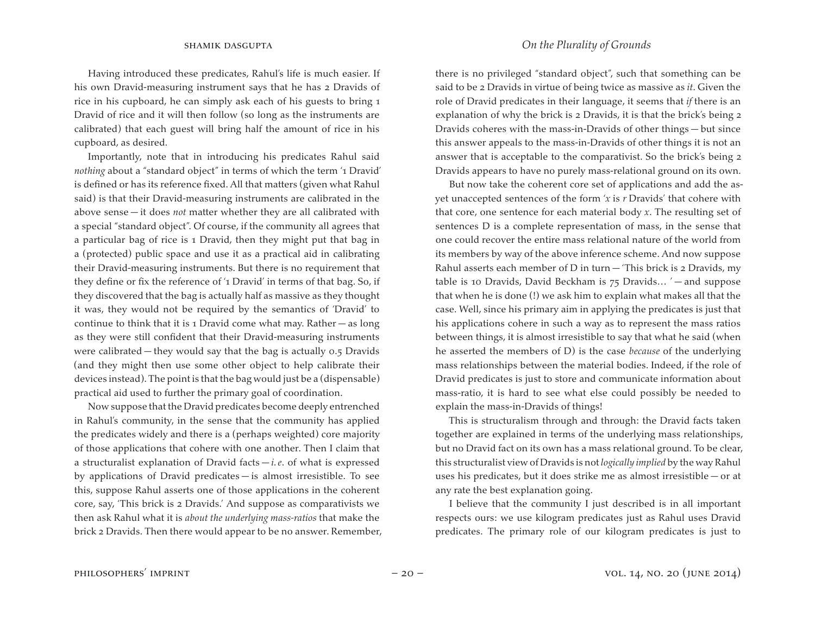Having introduced these predicates, Rahul's life is much easier. If his own Dravid-measuring instrument says that he has 2 Dravids of rice in his cupboard, he can simply ask each of his guests to bring 1 Dravid of rice and it will then follow (so long as the instruments are calibrated) that each guest will bring half the amount of rice in his cupboard, as desired.

Importantly, note that in introducing his predicates Rahul said *nothing* about a "standard object" in terms of which the term '1 Dravid' is defined or has its reference fixed. All that matters (given what Rahul said) is that their Dravid-measuring instruments are calibrated in the above sense — it does *not* matter whether they are all calibrated with a special "standard object". Of course, if the community all agrees that a particular bag of rice is 1 Dravid, then they might put that bag in a (protected) public space and use it as a practical aid in calibrating their Dravid-measuring instruments. But there is no requirement that they define or fix the reference of '1 Dravid' in terms of that bag. So, if they discovered that the bag is actually half as massive as they thought it was, they would not be required by the semantics of 'Dravid' to continue to think that it is 1 Dravid come what may. Rather — as long as they were still confident that their Dravid-measuring instruments were calibrated — they would say that the bag is actually 0.5 Dravids (and they might then use some other object to help calibrate their devices instead).The point is that the bag would just be a (dispensable) practical aid used to further the primary goal of coordination.

Now suppose that the Dravid predicates become deeply entrenched in Rahul's community, in the sense that the community has applied the predicates widely and there is a (perhaps weighted) core majority of those applications that cohere with one another. Then I claim that a structuralist explanation of Dravid facts — *i. e*. of what is expressed by applications of Dravid predicates — is almost irresistible. To see this, suppose Rahul asserts one of those applications in the coherent core, say, 'This brick is 2 Dravids.' And suppose as comparativists we then ask Rahul what it is *about the underlying mass-ratios* that make the brick 2 Dravids. Then there would appear to be no answer. Remember,

### shamik dasgupta *On the Plurality of Grounds*

there is no privileged "standard object", such that something can be said to be 2 Dravids in virtue of being twice as massive as *it*. Given the role of Dravid predicates in their language, it seems that *if* there is an explanation of why the brick is 2 Dravids, it is that the brick's being 2 Dravids coheres with the mass-in-Dravids of other things — but since this answer appeals to the mass-in-Dravids of other things it is not an answer that is acceptable to the comparativist. So the brick's being 2 Dravids appears to have no purely mass-relational ground on its own.

But now take the coherent core set of applications and add the asyet unaccepted sentences of the form '*x* is *r* Dravids' that cohere with that core, one sentence for each material body *x*. The resulting set of sentences D is a complete representation of mass, in the sense that one could recover the entire mass relational nature of the world from its members by way of the above inference scheme. And now suppose Rahul asserts each member of D in turn  $-$  This brick is 2 Dravids, my table is 10 Dravids, David Beckham is  $75$  Dravids... ' — and suppose that when he is done (!) we ask him to explain what makes all that the case. Well, since his primary aim in applying the predicates is just that his applications cohere in such a way as to represent the mass ratios between things, it is almost irresistible to say that what he said (when he asserted the members of D) is the case *because* of the underlying mass relationships between the material bodies. Indeed, if the role of Dravid predicates is just to store and communicate information about mass-ratio, it is hard to see what else could possibly be needed to explain the mass-in-Dravids of things!

This is structuralism through and through: the Dravid facts taken together are explained in terms of the underlying mass relationships, but no Dravid fact on its own has a mass relational ground. To be clear, this structuralist view of Dravids is not *logically implied* by the way Rahul uses his predicates, but it does strike me as almost irresistible — or at any rate the best explanation going.

I believe that the community I just described is in all important respects ours: we use kilogram predicates just as Rahul uses Dravid predicates. The primary role of our kilogram predicates is just to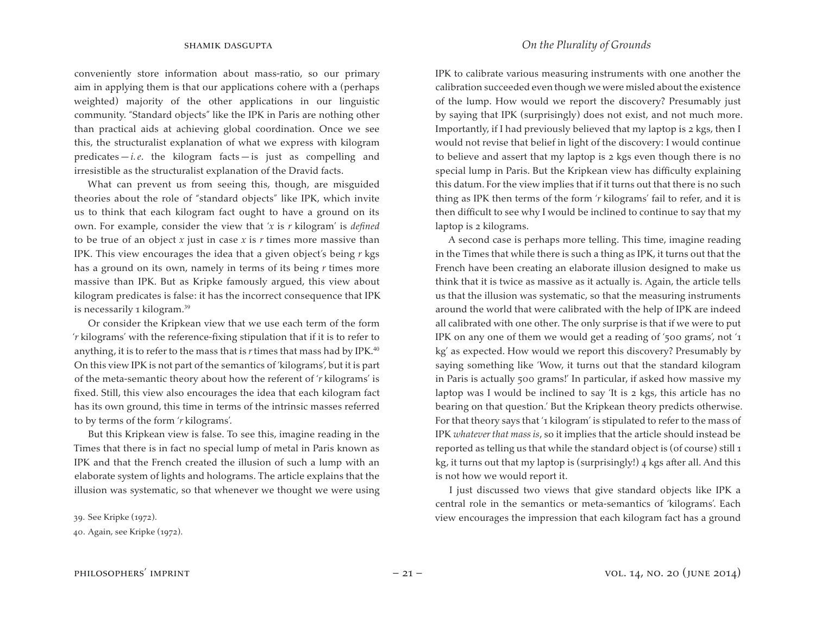conveniently store information about mass-ratio, so our primary aim in applying them is that our applications cohere with a (perhaps weighted) majority of the other applications in our linguistic community. "Standard objects" like the IPK in Paris are nothing other than practical aids at achieving global coordination. Once we see this, the structuralist explanation of what we express with kilogram predicates  $-i.e.$  the kilogram facts  $-i$  is just as compelling and irresistible as the structuralist explanation of the Dravid facts.

What can prevent us from seeing this, though, are misguided theories about the role of "standard objects" like IPK, which invite us to think that each kilogram fact ought to have a ground on its own. For example, consider the view that '*x* is *r* kilogram' is *defined*  to be true of an object *x* just in case *x* is *r* times more massive than IPK. This view encourages the idea that a given object's being *r* kgs has a ground on its own, namely in terms of its being *r* times more massive than IPK. But as Kripke famously argued, this view about kilogram predicates is false: it has the incorrect consequence that IPK is necessarily 1 kilogram.<sup>39</sup>

Or consider the Kripkean view that we use each term of the form '*r* kilograms' with the reference-fixing stipulation that if it is to refer to anything, it is to refer to the mass that is  $r$  times that mass had by IPK.<sup>40</sup> On this view IPK is not part of the semantics of 'kilograms', but it is part of the meta-semantic theory about how the referent of '*r* kilograms' is fixed. Still, this view also encourages the idea that each kilogram fact has its own ground, this time in terms of the intrinsic masses referred to by terms of the form '*r* kilograms'.

But this Kripkean view is false. To see this, imagine reading in the Times that there is in fact no special lump of metal in Paris known as IPK and that the French created the illusion of such a lump with an elaborate system of lights and holograms. The article explains that the illusion was systematic, so that whenever we thought we were using

39. See Kripke (1972).

### shamik dasgupta *On the Plurality of Grounds*

IPK to calibrate various measuring instruments with one another the calibration succeeded even though we were misled about the existence of the lump. How would we report the discovery? Presumably just by saying that IPK (surprisingly) does not exist, and not much more. Importantly, if I had previously believed that my laptop is 2 kgs, then I would not revise that belief in light of the discovery: I would continue to believe and assert that my laptop is 2 kgs even though there is no special lump in Paris. But the Kripkean view has difficulty explaining this datum. For the view implies that if it turns out that there is no such thing as IPK then terms of the form '*r* kilograms' fail to refer, and it is then difficult to see why I would be inclined to continue to say that my laptop is 2 kilograms.

A second case is perhaps more telling. This time, imagine reading in the Times that while there is such a thing as IPK, it turns out that the French have been creating an elaborate illusion designed to make us think that it is twice as massive as it actually is. Again, the article tells us that the illusion was systematic, so that the measuring instruments around the world that were calibrated with the help of IPK are indeed all calibrated with one other. The only surprise is that if we were to put IPK on any one of them we would get a reading of '500 grams', not '1 kg' as expected. How would we report this discovery? Presumably by saying something like 'Wow, it turns out that the standard kilogram in Paris is actually 500 grams!' In particular, if asked how massive my laptop was I would be inclined to say 'It is 2 kgs, this article has no bearing on that question.' But the Kripkean theory predicts otherwise. For that theory says that '1 kilogram' is stipulated to refer to the mass of IPK *whatever that mass is*, so it implies that the article should instead be reported as telling us that while the standard object is (of course) still 1 kg, it turns out that my laptop is (surprisingly!) 4 kgs after all. And this is not how we would report it.

I just discussed two views that give standard objects like IPK a central role in the semantics or meta-semantics of 'kilograms'. Each view encourages the impression that each kilogram fact has a ground

<sup>40.</sup> Again, see Kripke (1972).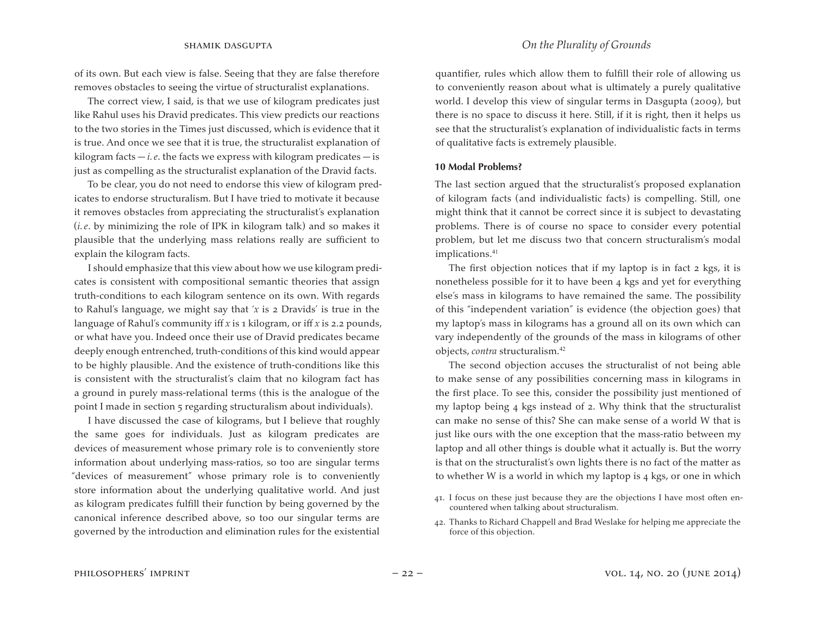of its own. But each view is false. Seeing that they are false therefore removes obstacles to seeing the virtue of structuralist explanations.

The correct view, I said, is that we use of kilogram predicates just like Rahul uses his Dravid predicates. This view predicts our reactions to the two stories in the Times just discussed, which is evidence that it is true. And once we see that it is true, the structuralist explanation of kilogram facts  $-i.e.$  the facts we express with kilogram predicates  $-i$  is just as compelling as the structuralist explanation of the Dravid facts.

To be clear, you do not need to endorse this view of kilogram predicates to endorse structuralism. But I have tried to motivate it because it removes obstacles from appreciating the structuralist's explanation (*i. e*. by minimizing the role of IPK in kilogram talk) and so makes it plausible that the underlying mass relations really are sufficient to explain the kilogram facts.

I should emphasize that this view about how we use kilogram predicates is consistent with compositional semantic theories that assign truth-conditions to each kilogram sentence on its own. With regards to Rahul's language, we might say that '*x* is 2 Dravids' is true in the language of Rahul's community iff *x* is 1 kilogram, or iff *x* is 2.2 pounds, or what have you. Indeed once their use of Dravid predicates became deeply enough entrenched, truth-conditions of this kind would appear to be highly plausible. And the existence of truth-conditions like this is consistent with the structuralist's claim that no kilogram fact has a ground in purely mass-relational terms (this is the analogue of the point I made in section 5 regarding structuralism about individuals).

I have discussed the case of kilograms, but I believe that roughly the same goes for individuals. Just as kilogram predicates are devices of measurement whose primary role is to conveniently store information about underlying mass-ratios, so too are singular terms "devices of measurement" whose primary role is to conveniently store information about the underlying qualitative world. And just as kilogram predicates fulfill their function by being governed by the canonical inference described above, so too our singular terms are governed by the introduction and elimination rules for the existential quantifier, rules which allow them to fulfill their role of allowing us to conveniently reason about what is ultimately a purely qualitative world. I develop this view of singular terms in Dasgupta (2009), but there is no space to discuss it here. Still, if it is right, then it helps us see that the structuralist's explanation of individualistic facts in terms of qualitative facts is extremely plausible.

#### **10 Modal Problems?**

The last section argued that the structuralist's proposed explanation of kilogram facts (and individualistic facts) is compelling. Still, one might think that it cannot be correct since it is subject to devastating problems. There is of course no space to consider every potential problem, but let me discuss two that concern structuralism's modal implications.<sup>41</sup>

The first objection notices that if my laptop is in fact 2 kgs, it is nonetheless possible for it to have been 4 kgs and yet for everything else's mass in kilograms to have remained the same. The possibility of this "independent variation" is evidence (the objection goes) that my laptop's mass in kilograms has a ground all on its own which can vary independently of the grounds of the mass in kilograms of other objects, *contra* structuralism.<sup>42</sup>

The second objection accuses the structuralist of not being able to make sense of any possibilities concerning mass in kilograms in the first place. To see this, consider the possibility just mentioned of my laptop being 4 kgs instead of 2. Why think that the structuralist can make no sense of this? She can make sense of a world W that is just like ours with the one exception that the mass-ratio between my laptop and all other things is double what it actually is. But the worry is that on the structuralist's own lights there is no fact of the matter as to whether W is a world in which my laptop is 4 kgs, or one in which

<sup>41.</sup> I focus on these just because they are the objections I have most often encountered when talking about structuralism.

<sup>42.</sup> Thanks to Richard Chappell and Brad Weslake for helping me appreciate the force of this objection.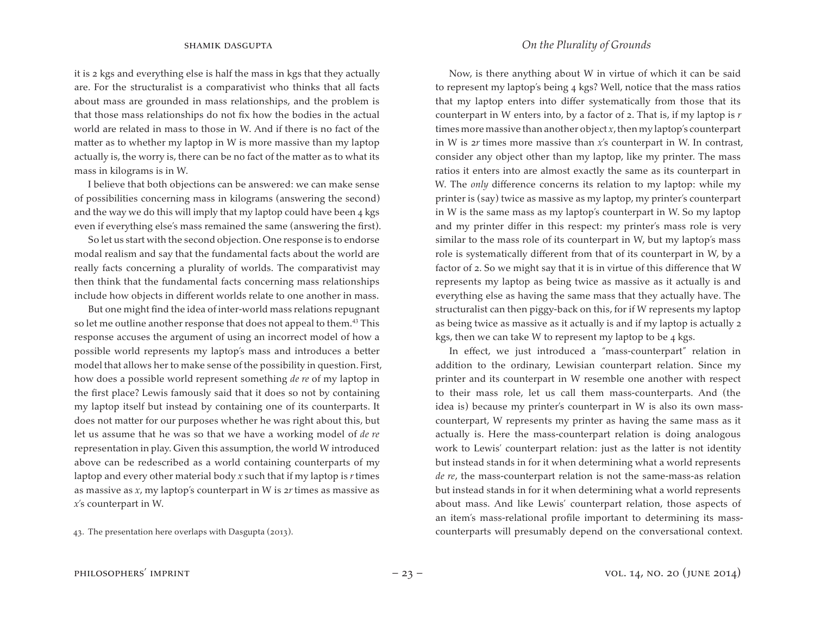it is 2 kgs and everything else is half the mass in kgs that they actually are. For the structuralist is a comparativist who thinks that all facts about mass are grounded in mass relationships, and the problem is that those mass relationships do not fix how the bodies in the actual world are related in mass to those in W. And if there is no fact of the matter as to whether my laptop in W is more massive than my laptop actually is, the worry is, there can be no fact of the matter as to what its mass in kilograms is in W.

I believe that both objections can be answered: we can make sense of possibilities concerning mass in kilograms (answering the second) and the way we do this will imply that my laptop could have been 4 kgs even if everything else's mass remained the same (answering the first).

So let us start with the second objection. One response is to endorse modal realism and say that the fundamental facts about the world are really facts concerning a plurality of worlds. The comparativist may then think that the fundamental facts concerning mass relationships include how objects in different worlds relate to one another in mass.

But one might find the idea of inter-world mass relations repugnant so let me outline another response that does not appeal to them.<sup>43</sup> This response accuses the argument of using an incorrect model of how a possible world represents my laptop's mass and introduces a better model that allows her to make sense of the possibility in question. First, how does a possible world represent something *de re* of my laptop in the first place? Lewis famously said that it does so not by containing my laptop itself but instead by containing one of its counterparts. It does not matter for our purposes whether he was right about this, but let us assume that he was so that we have a working model of *de re*  representation in play. Given this assumption, the world W introduced above can be redescribed as a world containing counterparts of my laptop and every other material body *x* such that if my laptop is *r* times as massive as *x*, my laptop's counterpart in W is 2*r* times as massive as *x*'s counterpart in W.

43. The presentation here overlaps with Dasgupta (2013).

Now, is there anything about W in virtue of which it can be said to represent my laptop's being 4 kgs? Well, notice that the mass ratios that my laptop enters into differ systematically from those that its counterpart in W enters into, by a factor of 2. That is, if my laptop is *r*  times more massive than another object  $x$ , then my laptop's counterpart in W is 2*r* times more massive than *x*'s counterpart in W. In contrast, consider any object other than my laptop, like my printer. The mass ratios it enters into are almost exactly the same as its counterpart in W. The *only* difference concerns its relation to my laptop: while my printer is (say) twice as massive as my laptop, my printer's counterpart in W is the same mass as my laptop's counterpart in W. So my laptop and my printer differ in this respect: my printer's mass role is very similar to the mass role of its counterpart in W, but my laptop's mass role is systematically different from that of its counterpart in W, by a factor of 2. So we might say that it is in virtue of this difference that W represents my laptop as being twice as massive as it actually is and everything else as having the same mass that they actually have. The structuralist can then piggy-back on this, for if W represents my laptop as being twice as massive as it actually is and if my laptop is actually 2 kgs, then we can take W to represent my laptop to be 4 kgs.

In effect, we just introduced a "mass-counterpart" relation in addition to the ordinary, Lewisian counterpart relation. Since my printer and its counterpart in W resemble one another with respect to their mass role, let us call them mass-counterparts. And (the idea is) because my printer's counterpart in W is also its own masscounterpart, W represents my printer as having the same mass as it actually is. Here the mass-counterpart relation is doing analogous work to Lewis' counterpart relation: just as the latter is not identity but instead stands in for it when determining what a world represents *de re*, the mass-counterpart relation is not the same-mass-as relation but instead stands in for it when determining what a world represents about mass. And like Lewis' counterpart relation, those aspects of an item's mass-relational profile important to determining its masscounterparts will presumably depend on the conversational context.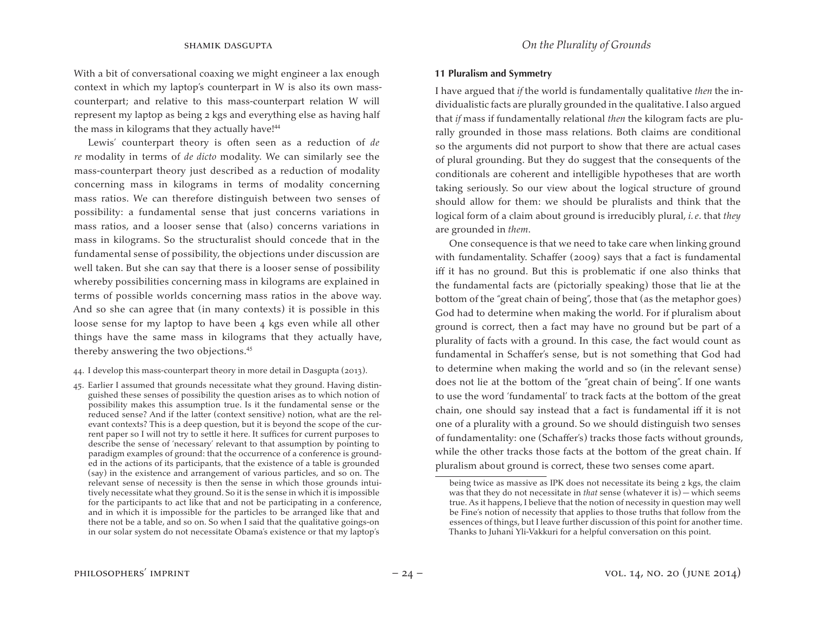With a bit of conversational coaxing we might engineer a lax enough context in which my laptop's counterpart in W is also its own masscounterpart; and relative to this mass-counterpart relation W will represent my laptop as being 2 kgs and everything else as having half the mass in kilograms that they actually have!<sup>44</sup>

Lewis' counterpart theory is often seen as a reduction of *de re* modality in terms of *de dicto* modality. We can similarly see the mass-counterpart theory just described as a reduction of modality concerning mass in kilograms in terms of modality concerning mass ratios. We can therefore distinguish between two senses of possibility: a fundamental sense that just concerns variations in mass ratios, and a looser sense that (also) concerns variations in mass in kilograms. So the structuralist should concede that in the fundamental sense of possibility, the objections under discussion are well taken. But she can say that there is a looser sense of possibility whereby possibilities concerning mass in kilograms are explained in terms of possible worlds concerning mass ratios in the above way. And so she can agree that (in many contexts) it is possible in this loose sense for my laptop to have been 4 kgs even while all other things have the same mass in kilograms that they actually have, thereby answering the two objections.<sup>45</sup>

- 44. I develop this mass-counterpart theory in more detail in Dasgupta (2013).
- 45. Earlier I assumed that grounds necessitate what they ground. Having distinguished these senses of possibility the question arises as to which notion of possibility makes this assumption true. Is it the fundamental sense or the reduced sense? And if the latter (context sensitive) notion, what are the relevant contexts? This is a deep question, but it is beyond the scope of the current paper so I will not try to settle it here. It suffices for current purposes to describe the sense of 'necessary' relevant to that assumption by pointing to paradigm examples of ground: that the occurrence of a conference is grounded in the actions of its participants, that the existence of a table is grounded (say) in the existence and arrangement of various particles, and so on. The relevant sense of necessity is then the sense in which those grounds intuitively necessitate what they ground. So it is the sense in which it is impossible for the participants to act like that and not be participating in a conference, and in which it is impossible for the particles to be arranged like that and there not be a table, and so on. So when I said that the qualitative goings-on in our solar system do not necessitate Obama's existence or that my laptop's

### **11 Pluralism and Symmetry**

I have argued that *if* the world is fundamentally qualitative *then* the individualistic facts are plurally grounded in the qualitative.I also argued that *if* mass if fundamentally relational *then* the kilogram facts are plurally grounded in those mass relations. Both claims are conditional so the arguments did not purport to show that there are actual cases of plural grounding. But they do suggest that the consequents of the conditionals are coherent and intelligible hypotheses that are worth taking seriously. So our view about the logical structure of ground should allow for them: we should be pluralists and think that the logical form of a claim about ground is irreducibly plural, *i. e*. that *they*  are grounded in *them*.

One consequence is that we need to take care when linking ground with fundamentality. Schaffer (2009) says that a fact is fundamental iff it has no ground. But this is problematic if one also thinks that the fundamental facts are (pictorially speaking) those that lie at the bottom of the "great chain of being", those that (as the metaphor goes) God had to determine when making the world. For if pluralism about ground is correct, then a fact may have no ground but be part of a plurality of facts with a ground. In this case, the fact would count as fundamental in Schaffer's sense, but is not something that God had to determine when making the world and so (in the relevant sense) does not lie at the bottom of the "great chain of being". If one wants to use the word 'fundamental' to track facts at the bottom of the great chain, one should say instead that a fact is fundamental iff it is not one of a plurality with a ground. So we should distinguish two senses of fundamentality: one (Schaffer's) tracks those facts without grounds, while the other tracks those facts at the bottom of the great chain. If pluralism about ground is correct, these two senses come apart.

being twice as massive as IPK does not necessitate its being 2 kgs, the claim was that they do not necessitate in *that* sense (whatever it is) — which seems true. As it happens, I believe that the notion of necessity in question may well be Fine's notion of necessity that applies to those truths that follow from the essences of things, but I leave further discussion of this point for another time. Thanks to Juhani Yli-Vakkuri for a helpful conversation on this point.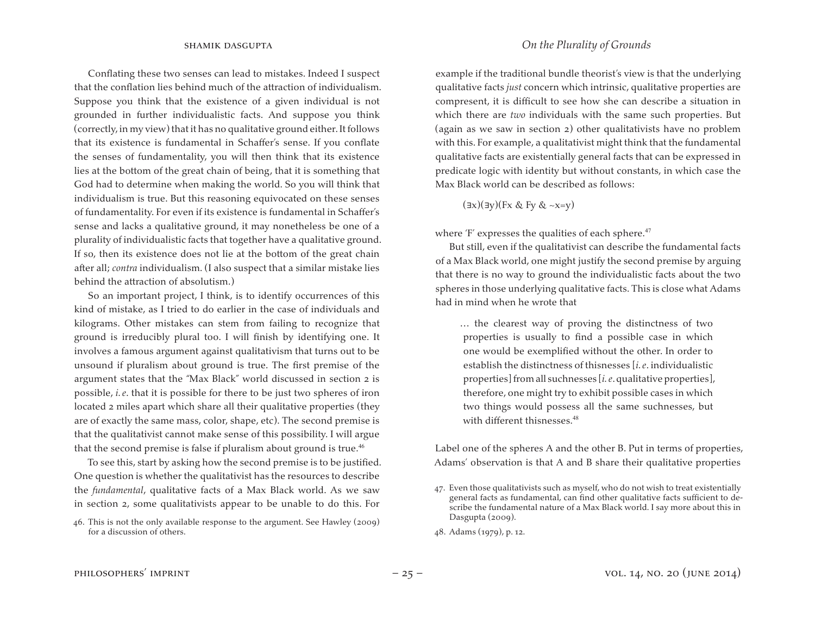Conflating these two senses can lead to mistakes. Indeed I suspect that the conflation lies behind much of the attraction of individualism. Suppose you think that the existence of a given individual is not grounded in further individualistic facts. And suppose you think (correctly, in my view) that it has no qualitative ground either. It follows that its existence is fundamental in Schaffer's sense. If you conflate the senses of fundamentality, you will then think that its existence lies at the bottom of the great chain of being, that it is something that God had to determine when making the world. So you will think that individualism is true. But this reasoning equivocated on these senses of fundamentality. For even if its existence is fundamental in Schaffer's sense and lacks a qualitative ground, it may nonetheless be one of a plurality of individualistic facts that together have a qualitative ground. If so, then its existence does not lie at the bottom of the great chain after all; *contra* individualism. (I also suspect that a similar mistake lies behind the attraction of absolutism.)

So an important project, I think, is to identify occurrences of this kind of mistake, as I tried to do earlier in the case of individuals and kilograms. Other mistakes can stem from failing to recognize that ground is irreducibly plural too. I will finish by identifying one. It involves a famous argument against qualitativism that turns out to be unsound if pluralism about ground is true. The first premise of the argument states that the "Max Black" world discussed in section 2 is possible, *i. e*. that it is possible for there to be just two spheres of iron located 2 miles apart which share all their qualitative properties (they are of exactly the same mass, color, shape, etc). The second premise is that the qualitativist cannot make sense of this possibility. I will argue that the second premise is false if pluralism about ground is true. $46$ 

To see this, start by asking how the second premise is to be justified. One question is whether the qualitativist has the resources to describe the *fundamental*, qualitative facts of a Max Black world. As we saw in section 2, some qualitativists appear to be unable to do this. For

example if the traditional bundle theorist's view is that the underlying qualitative facts *just* concern which intrinsic, qualitative properties are compresent, it is difficult to see how she can describe a situation in which there are *two* individuals with the same such properties. But (again as we saw in section 2) other qualitativists have no problem with this. For example, a qualitativist might think that the fundamental qualitative facts are existentially general facts that can be expressed in predicate logic with identity but without constants, in which case the Max Black world can be described as follows:

(∃x)(∃y)(Fx & Fy & ~x=y)

where 'F' expresses the qualities of each sphere.<sup>47</sup>

But still, even if the qualitativist can describe the fundamental facts of a Max Black world, one might justify the second premise by arguing that there is no way to ground the individualistic facts about the two spheres in those underlying qualitative facts. This is close what Adams had in mind when he wrote that

… the clearest way of proving the distinctness of two properties is usually to find a possible case in which one would be exemplified without the other. In order to establish the distinctness of thisnesses [*i. e*. individualistic properties] from all suchnesses [*i. e.* qualitative properties], therefore, one might try to exhibit possible cases in which two things would possess all the same suchnesses, but with different thisnesses.<sup>48</sup>

Label one of the spheres A and the other B. Put in terms of properties, Adams' observation is that A and B share their qualitative properties

<sup>46.</sup> This is not the only available response to the argument. See Hawley (2009) for a discussion of others.

<sup>47.</sup> Even those qualitativists such as myself, who do not wish to treat existentially general facts as fundamental, can find other qualitative facts sufficient to describe the fundamental nature of a Max Black world. I say more about this in Dasgupta (2009).

<sup>48.</sup> Adams (1979), p. 12.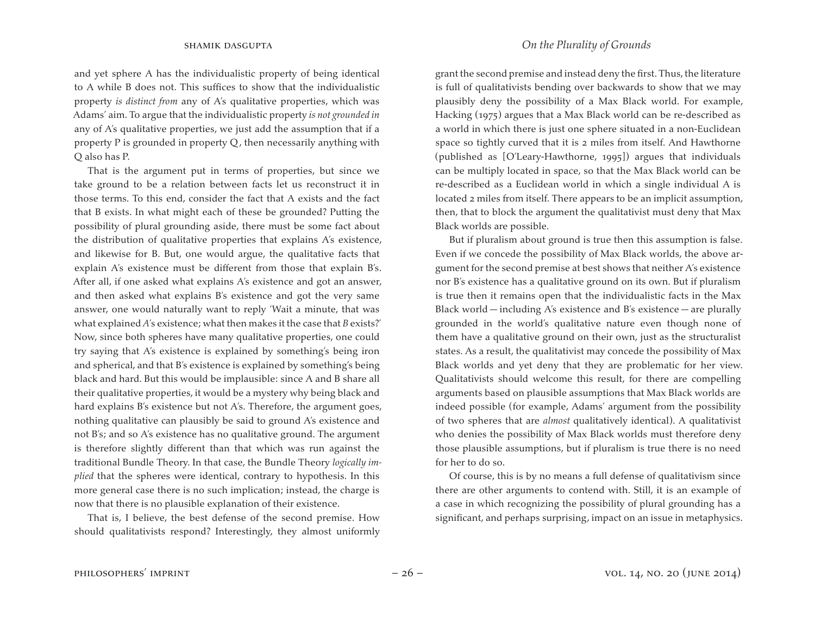and yet sphere A has the individualistic property of being identical to A while B does not. This suffices to show that the individualistic property *is distinct from* any of A's qualitative properties, which was Adams' aim. To argue that the individualistic property *is not grounded in*  any of A's qualitative properties, we just add the assumption that if a property P is grounded in property Q, then necessarily anything with Q also has P.

That is the argument put in terms of properties, but since we take ground to be a relation between facts let us reconstruct it in those terms. To this end, consider the fact that A exists and the fact that B exists. In what might each of these be grounded? Putting the possibility of plural grounding aside, there must be some fact about the distribution of qualitative properties that explains A's existence, and likewise for B. But, one would argue, the qualitative facts that explain A's existence must be different from those that explain B's. After all, if one asked what explains A's existence and got an answer, and then asked what explains B's existence and got the very same answer, one would naturally want to reply 'Wait a minute, that was what explained *A*'s existence; what then makes it the case that *B* exists?' Now, since both spheres have many qualitative properties, one could try saying that A's existence is explained by something's being iron and spherical, and that B's existence is explained by something's being black and hard. But this would be implausible: since A and B share all their qualitative properties, it would be a mystery why being black and hard explains B's existence but not A's. Therefore, the argument goes, nothing qualitative can plausibly be said to ground A's existence and not B's; and so A's existence has no qualitative ground. The argument is therefore slightly different than that which was run against the traditional Bundle Theory. In that case, the Bundle Theory *logically implied* that the spheres were identical, contrary to hypothesis. In this more general case there is no such implication; instead, the charge is now that there is no plausible explanation of their existence.

That is, I believe, the best defense of the second premise. How should qualitativists respond? Interestingly, they almost uniformly grant the second premise and instead deny the first. Thus, the literature is full of qualitativists bending over backwards to show that we may plausibly deny the possibility of a Max Black world. For example, Hacking (1975) argues that a Max Black world can be re-described as a world in which there is just one sphere situated in a non-Euclidean space so tightly curved that it is 2 miles from itself. And Hawthorne (published as [O'Leary-Hawthorne, 1995]) argues that individuals can be multiply located in space, so that the Max Black world can be re-described as a Euclidean world in which a single individual A is located 2 miles from itself. There appears to be an implicit assumption, then, that to block the argument the qualitativist must deny that Max Black worlds are possible.

But if pluralism about ground is true then this assumption is false. Even if we concede the possibility of Max Black worlds, the above argument for the second premise at best shows that neither A's existence nor B's existence has a qualitative ground on its own. But if pluralism is true then it remains open that the individualistic facts in the Max Black world — including A's existence and B's existence — are plurally grounded in the world's qualitative nature even though none of them have a qualitative ground on their own, just as the structuralist states. As a result, the qualitativist may concede the possibility of Max Black worlds and yet deny that they are problematic for her view. Qualitativists should welcome this result, for there are compelling arguments based on plausible assumptions that Max Black worlds are indeed possible (for example, Adams' argument from the possibility of two spheres that are *almost* qualitatively identical). A qualitativist who denies the possibility of Max Black worlds must therefore deny those plausible assumptions, but if pluralism is true there is no need for her to do so.

Of course, this is by no means a full defense of qualitativism since there are other arguments to contend with. Still, it is an example of a case in which recognizing the possibility of plural grounding has a significant, and perhaps surprising, impact on an issue in metaphysics.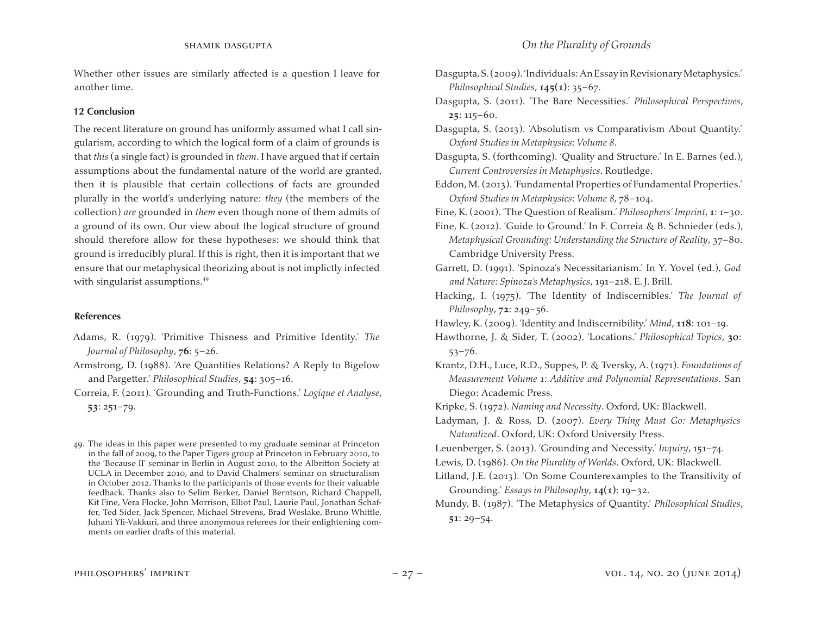Whether other issues are similarly affected is a question I leave for another time.

### **12 Conclusion**

The recent literature on ground has uniformly assumed what I call singularism, according to which the logical form of a claim of grounds is that *this* (a single fact) is grounded in *them*. I have argued that if certain assumptions about the fundamental nature of the world are granted, then it is plausible that certain collections of facts are grounded plurally in the world's underlying nature: *they* (the members of the collection) *are* grounded in *them* even though none of them admits of a ground of its own. Our view about the logical structure of ground should therefore allow for these hypotheses: we should think that ground is irreducibly plural. If this is right, then it is important that we ensure that our metaphysical theorizing about is not implictly infected with singularist assumptions.<sup>49</sup>

### **References**

- Adams, R. (1979). 'Primitive Thisness and Primitive Identity.' *The Journal of Philosophy*, **76**: 5–26.
- Armstrong, D. (1988). 'Are Quantities Relations? A Reply to Bigelow and Pargetter.' *Philosophical Studies*, **54**: 305–16.
- Correia, F. (2011). 'Grounding and Truth-Functions.' *Logique et Analyse*, **53**: 251–79.
- 49. The ideas in this paper were presented to my graduate seminar at Princeton in the fall of 2009, to the Paper Tigers group at Princeton in February 2010, to the 'Because II' seminar in Berlin in August 2010, to the Albritton Society at UCLA in December 2010, and to David Chalmers' seminar on structuralism in October 2012. Thanks to the participants of those events for their valuable feedback. Thanks also to Selim Berker, Daniel Berntson, Richard Chappell, Kit Fine, Vera Flocke, John Morrison, Elliot Paul, Laurie Paul, Jonathan Schaffer, Ted Sider, Jack Spencer, Michael Strevens, Brad Weslake, Bruno Whittle, Juhani Yli-Vakkuri, and three anonymous referees for their enlightening comments on earlier drafts of this material.
- Dasgupta, S. (2011). 'The Bare Necessities.' *Philosophical Perspectives*, **25**: 115–60.
- Dasgupta, S. (2013). 'Absolutism vs Comparativism About Quantity.' *Oxford Studies in Metaphysics: Volume 8*.
- Dasgupta, S. (forthcoming). 'Quality and Structure.' In E. Barnes (ed.), *Current Controversies in Metaphysics*. Routledge.
- Eddon, M.(2013). 'Fundamental Properties of Fundamental Properties.' *Oxford Studies in Metaphysics: Volume 8*, 78–104.
- Fine, K.(2001). 'The Question of Realism.' *Philosophers' Imprint*, **1**: 1–30.
- Fine, K. (2012). 'Guide to Ground.' In F. Correia & B. Schnieder (eds.), *Metaphysical Grounding: Understanding the Structure of Reality*, 37–80. Cambridge University Press.

Garrett, D. (1991). 'Spinoza's Necessitarianism.' In Y. Yovel (ed.), *God and Nature: Spinoza's Metaphysics*, 191–218. E.J. Brill.

- Hacking, I. (1975). 'The Identity of Indiscernibles.' *The Journal of Philosophy*, **72**: 249–56.
- Hawley, K. (2009). 'Identity and Indiscernibility.' *Mind*, **118**: 101–19.
- Hawthorne, J. & Sider, T. (2002). 'Locations.' *Philosophical Topics*, **30**: 53–76.
- Krantz, D.H., Luce, R.D., Suppes, P. & Tversky, A. (1971). *Foundations of Measurement Volume 1: Additive and Polynomial Representations*. San Diego: Academic Press.
- Kripke, S. (1972). *Naming and Necessity*. Oxford, UK: Blackwell.
- Ladyman, J. & Ross, D. (2007). *Every Thing Must Go: Metaphysics Naturalized*. Oxford, UK: Oxford University Press.
- Leuenberger, S. (2013). 'Grounding and Necessity.' *Inquiry*, 151–74.
- Lewis, D. (1986). *On the Plurality of Worlds*. Oxford, UK: Blackwell.
- Litland, J.E. (2013). 'On Some Counterexamples to the Transitivity of Grounding.' *Essays in Philosophy*, **14(1)**: 19–32.
- Mundy, B. (1987). 'The Metaphysics of Quantity.' *Philosophical Studies*, **51**: 29–54.

Dasgupta,S.(2009).'Individuals:AnEssay inRevisionaryMetaphysics.' *Philosophical Studies*, **145(1)**: 35–67.